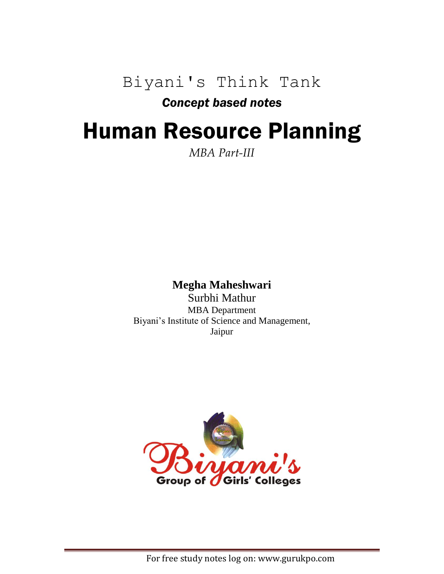Biyani's Think Tank

## *Concept based notes*

## Human Resource Planning

## *MBA Part-III*

## **Megha Maheshwari**

Surbhi Mathur MBA Department Biyani's Institute of Science and Management, Jaipur

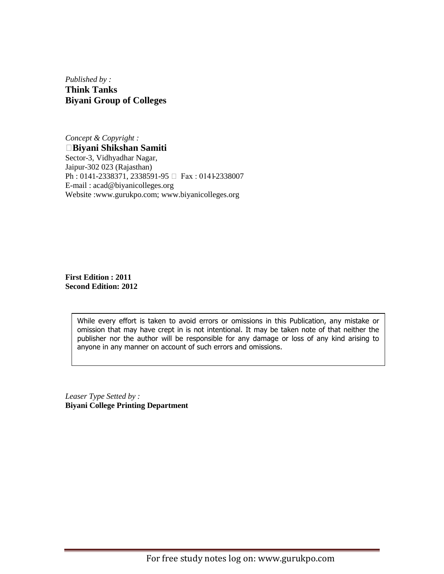*Published by :* **Think Tanks Biyani Group of Colleges**

*Concept & Copyright :* **Biyani Shikshan Samiti** Sector-3, Vidhyadhar Nagar, Jaipur-302 023 (Rajasthan) Ph : 0141-2338371, 2338591-95 □ Fax : 0141-2338007 E-mail : acad@biyanicolleges.org Website :www.gurukpo.com; www.biyanicolleges.org

**First Edition : 2011 Second Edition: 2012**

> While every effort is taken to avoid errors or omissions in this Publication, any mistake or omission that may have crept in is not intentional. It may be taken note of that neither the publisher nor the author will be responsible for any damage or loss of any kind arising to anyone in any manner on account of such errors and omissions.

*Leaser Type Setted by :* **Biyani College Printing Department**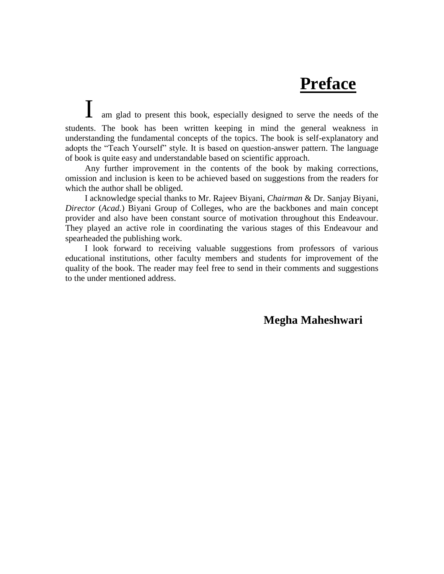## **Preface**

am glad to present this book, especially designed to serve the needs of the students. The book has been written keeping in mind the general weakness in understanding the fundamental concepts of the topics. The book is self-explanatory and adopts the "Teach Yourself" style. It is based on question-answer pattern. The language of book is quite easy and understandable based on scientific approach.

Any further improvement in the contents of the book by making corrections, omission and inclusion is keen to be achieved based on suggestions from the readers for which the author shall be obliged.

I acknowledge special thanks to Mr. Rajeev Biyani, *Chairman* & Dr. Sanjay Biyani, *Director* (*Acad.*) Biyani Group of Colleges, who are the backbones and main concept provider and also have been constant source of motivation throughout this Endeavour. They played an active role in coordinating the various stages of this Endeavour and spearheaded the publishing work.

I look forward to receiving valuable suggestions from professors of various educational institutions, other faculty members and students for improvement of the quality of the book. The reader may feel free to send in their comments and suggestions to the under mentioned address.

**Megha Maheshwari**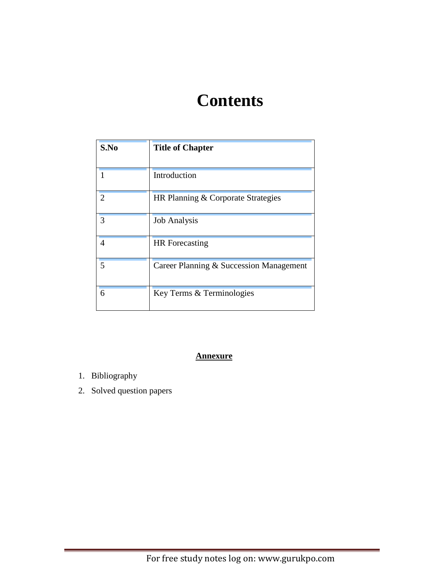## **Contents**

| S.No | <b>Title of Chapter</b>                 |
|------|-----------------------------------------|
|      | Introduction                            |
| 2    | HR Planning & Corporate Strategies      |
| 3    | <b>Job Analysis</b>                     |
| 4    | <b>HR</b> Forecasting                   |
| 5    | Career Planning & Succession Management |
| 6    | Key Terms & Terminologies               |

## **Annexure**

- 1. Bibliography
- 2. Solved question papers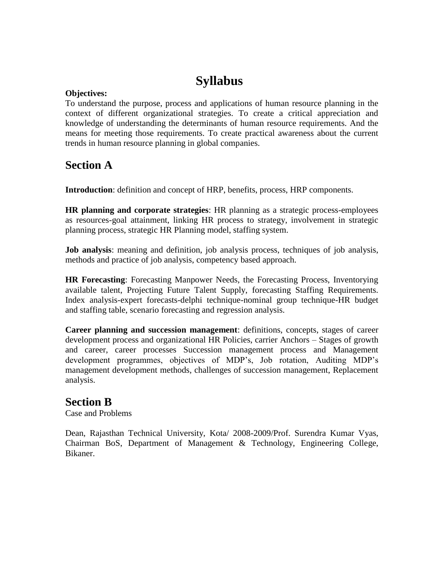## **Syllabus**

## **Objectives:**

To understand the purpose, process and applications of human resource planning in the context of different organizational strategies. To create a critical appreciation and knowledge of understanding the determinants of human resource requirements. And the means for meeting those requirements. To create practical awareness about the current trends in human resource planning in global companies.

## **Section A**

**Introduction**: definition and concept of HRP, benefits, process, HRP components.

**HR planning and corporate strategies**: HR planning as a strategic process-employees as resources-goal attainment, linking HR process to strategy, involvement in strategic planning process, strategic HR Planning model, staffing system.

**Job analysis**: meaning and definition, job analysis process, techniques of job analysis, methods and practice of job analysis, competency based approach.

**HR Forecasting**: Forecasting Manpower Needs, the Forecasting Process, Inventorying available talent, Projecting Future Talent Supply, forecasting Staffing Requirements. Index analysis-expert forecasts-delphi technique-nominal group technique-HR budget and staffing table, scenario forecasting and regression analysis.

**Career planning and succession management**: definitions, concepts, stages of career development process and organizational HR Policies, carrier Anchors – Stages of growth and career, career processes Succession management process and Management development programmes, objectives of MDP's, Job rotation, Auditing MDP's management development methods, challenges of succession management, Replacement analysis.

## **Section B**

Case and Problems

Dean, Rajasthan Technical University, Kota/ 2008-2009/Prof. Surendra Kumar Vyas, Chairman BoS, Department of Management & Technology, Engineering College, Bikaner.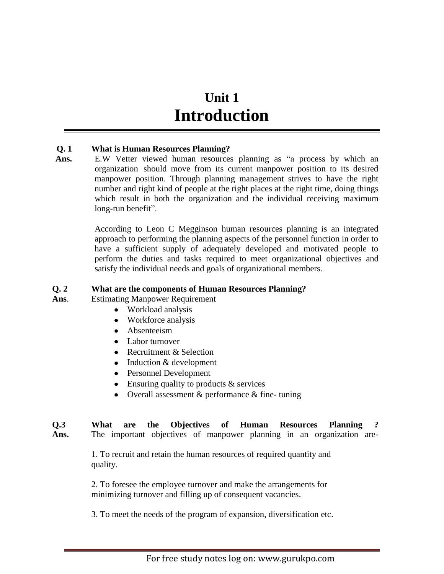## **Unit 1 Introduction**

#### **Q. 1 What is Human Resources Planning?**

Ans. E.W Vetter viewed human resources planning as "a process by which an organization should move from its current manpower position to its desired manpower position. Through planning management strives to have the right number and right kind of people at the right places at the right time, doing things which result in both the organization and the individual receiving maximum long-run benefit".

> According to Leon C Megginson human resources planning is an integrated approach to performing the planning aspects of the personnel function in order to have a sufficient supply of adequately developed and motivated people to perform the duties and tasks required to meet organizational objectives and satisfy the individual needs and goals of organizational members.

#### **Q. 2 What are the components of Human Resources Planning?**

- **Ans**. Estimating Manpower Requirement
	- Workload analysis
	- Workforce analysis
	- Absenteeism
	- Labor turnover
	- Recruitment & Selection
	- Induction & development
	- Personnel Development
	- Ensuring quality to products & services
	- Overall assessment & performance & fine- tuning

## **Q.3 What are the Objectives of Human Resources Planning ?**

**Ans.** The important objectives of manpower planning in an organization are-

1. To recruit and retain the human resources of required quantity and quality.

2. To foresee the employee turnover and make the arrangements for minimizing turnover and filling up of consequent vacancies.

3. To meet the needs of the program of expansion, diversification etc.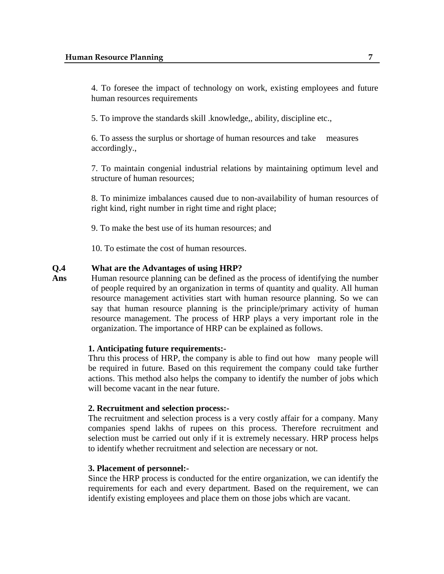4. To foresee the impact of technology on work, existing employees and future human resources requirements

5. To improve the standards skill .knowledge,, ability, discipline etc.,

6. To assess the surplus or shortage of human resources and take measures accordingly.,

7. To maintain congenial industrial relations by maintaining optimum level and structure of human resources;

8. To minimize imbalances caused due to non-availability of human resources of right kind, right number in right time and right place;

9. To make the best use of its human resources; and

10. To estimate the cost of human resources.

#### **Q.4 What are the Advantages of using HRP?**

Ans Human resource planning can be defined as the process of identifying the number of people required by an organization in terms of quantity and quality. All human resource management activities start with human resource planning. So we can say that human resource planning is the principle/primary activity of human resource management. The process of HRP plays a very important role in the organization. The importance of HRP can be explained as follows.

#### **1. Anticipating future requirements:-**

Thru this process of HRP, the company is able to find out how many people will be required in future. Based on this requirement the company could take further actions. This method also helps the company to identify the number of jobs which will become vacant in the near future.

#### **2. Recruitment and selection process:-**

The recruitment and selection process is a very costly affair for a company. Many companies spend lakhs of rupees on this process. Therefore recruitment and selection must be carried out only if it is extremely necessary. HRP process helps to identify whether recruitment and selection are necessary or not.

#### **3. Placement of personnel:-**

Since the HRP process is conducted for the entire organization, we can identify the requirements for each and every department. Based on the requirement, we can identify existing employees and place them on those jobs which are vacant.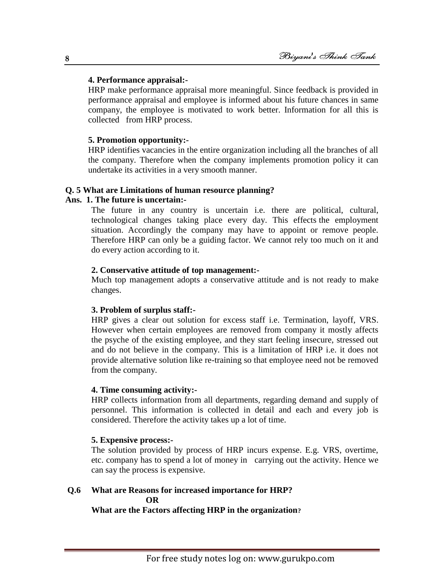#### **4. Performance appraisal:-**

HRP make performance appraisal more meaningful. Since feedback is provided in performance appraisal and employee is informed about his future chances in same company, the employee is motivated to work better. Information for all this is collected from HRP process.

#### **5. Promotion opportunity:-**

HRP identifies vacancies in the entire organization including all the branches of all the company. Therefore when the company implements promotion policy it can undertake its activities in a very smooth manner.

#### **Q. 5 What are Limitations of human resource planning?**

#### **Ans. 1. The future is uncertain:-**

The future in any country is uncertain i.e. there are political, cultural, technological changes taking place every day. This effects the employment situation. Accordingly the company may have to appoint or remove people. Therefore HRP can only be a guiding factor. We cannot rely too much on it and do every action according to it.

#### **2. Conservative attitude of top management:-**

Much top management adopts a conservative attitude and is not ready to make changes.

#### **3. Problem of surplus staff:-**

HRP gives a clear out solution for excess staff i.e. Termination, layoff, VRS. However when certain employees are removed from company it mostly affects the psyche of the existing employee, and they start feeling insecure, stressed out and do not believe in the company. This is a limitation of HRP i.e. it does not provide alternative solution like re-training so that employee need not be removed from the company.

#### **4. Time consuming activity:-**

HRP collects information from all departments, regarding demand and supply of personnel. This information is collected in detail and each and every job is considered. Therefore the activity takes up a lot of time.

#### **5. Expensive process:-**

The solution provided by process of HRP incurs expense. E.g. VRS, overtime, etc. company has to spend a lot of money in carrying out the activity. Hence we can say the process is expensive.

#### **Q.6 What are Reasons for increased importance for HRP?**  *OR*

 **What are the Factors affecting HRP in the organization?**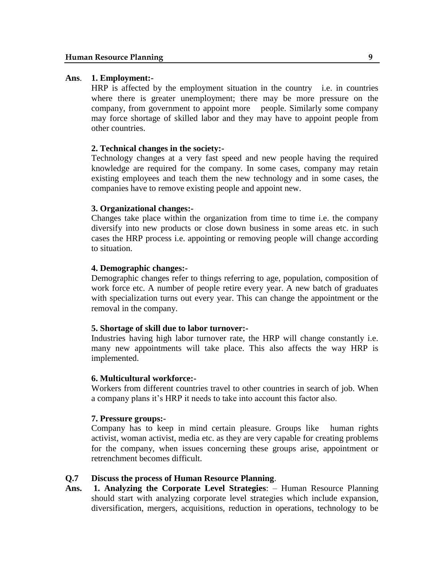#### **Ans**. **1. Employment:-**

HRP is affected by the employment situation in the country i.e. in countries where there is greater unemployment; there may be more pressure on the company, from government to appoint more people. Similarly some company may force shortage of skilled labor and they may have to appoint people from other countries.

#### **2. Technical changes in the society:-**

Technology changes at a very fast speed and new people having the required knowledge are required for the company. In some cases, company may retain existing employees and teach them the new technology and in some cases, the companies have to remove existing people and appoint new.

#### **3. Organizational changes:-**

Changes take place within the organization from time to time i.e. the company diversify into new products or close down business in some areas etc. in such cases the HRP process i.e. appointing or removing people will change according to situation.

#### **4. Demographic changes:-**

Demographic changes refer to things referring to age, population, composition of work force etc. A number of people retire every year. A new batch of graduates with specialization turns out every year. This can change the appointment or the removal in the company.

#### **5. Shortage of skill due to labor turnover:-**

Industries having high labor turnover rate, the HRP will change constantly i.e. many new appointments will take place. This also affects the way HRP is implemented.

#### **6. Multicultural workforce:-**

Workers from different countries travel to other countries in search of job. When a company plans it's HRP it needs to take into account this factor also.

#### **7. Pressure groups:-**

Company has to keep in mind certain pleasure. Groups like human rights activist, woman activist, media etc. as they are very capable for creating problems for the company, when issues concerning these groups arise, appointment or retrenchment becomes difficult.

#### **Q.7 Discuss the process of Human Resource Planning**.

**Ans. 1. Analyzing the Corporate Level Strategies**: – Human Resource Planning should start with analyzing corporate level strategies which include expansion, diversification, mergers, acquisitions, reduction in operations, technology to be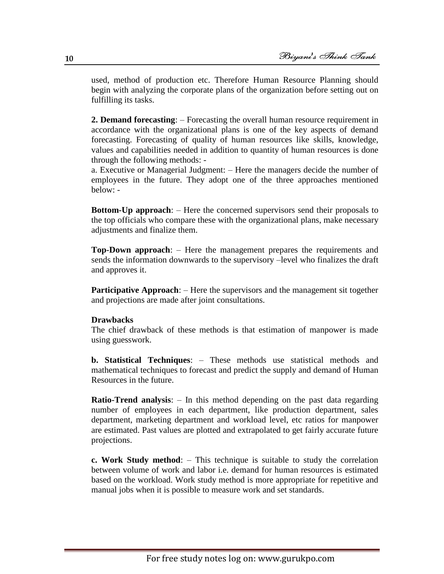used, method of production etc. Therefore Human Resource Planning should begin with analyzing the corporate plans of the organization before setting out on fulfilling its tasks.

**2. Demand forecasting**: – Forecasting the overall human resource requirement in accordance with the organizational plans is one of the key aspects of demand forecasting. Forecasting of quality of human resources like skills, knowledge, values and capabilities needed in addition to quantity of human resources is done through the following methods: -

a. Executive or Managerial Judgment: – Here the managers decide the number of employees in the future. They adopt one of the three approaches mentioned below: -

**Bottom-Up approach**: – Here the concerned supervisors send their proposals to the top officials who compare these with the organizational plans, make necessary adjustments and finalize them.

**Top-Down approach**: – Here the management prepares the requirements and sends the information downwards to the supervisory –level who finalizes the draft and approves it.

**Participative Approach:** – Here the supervisors and the management sit together and projections are made after joint consultations.

#### **Drawbacks**

The chief drawback of these methods is that estimation of manpower is made using guesswork.

**b. Statistical Techniques**: – These methods use statistical methods and mathematical techniques to forecast and predict the supply and demand of Human Resources in the future.

**Ratio-Trend analysis**: – In this method depending on the past data regarding number of employees in each department, like production department, sales department, marketing department and workload level, etc ratios for manpower are estimated. Past values are plotted and extrapolated to get fairly accurate future projections.

**c. Work Study method**: – This technique is suitable to study the correlation between volume of work and labor i.e. demand for human resources is estimated based on the workload. Work study method is more appropriate for repetitive and manual jobs when it is possible to measure work and set standards.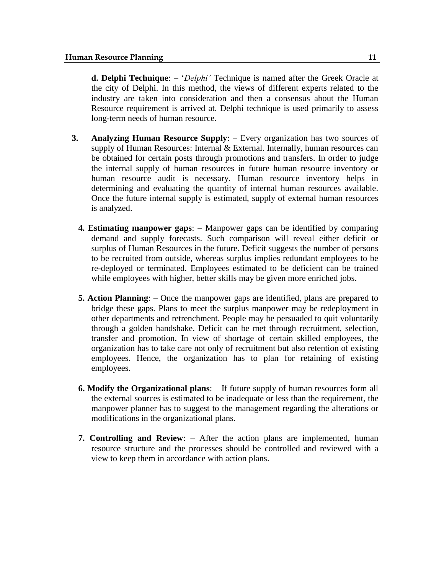**d. Delphi Technique**: – '*Delphi*' Technique is named after the Greek Oracle at the city of Delphi. In this method, the views of different experts related to the industry are taken into consideration and then a consensus about the Human Resource requirement is arrived at. Delphi technique is used primarily to assess long-term needs of human resource.

- **3. Analyzing Human Resource Supply**: Every organization has two sources of supply of Human Resources: Internal & External. Internally, human resources can be obtained for certain posts through promotions and transfers. In order to judge the internal supply of human resources in future human resource inventory or human resource audit is necessary. Human resource inventory helps in determining and evaluating the quantity of internal human resources available. Once the future internal supply is estimated, supply of external human resources is analyzed.
	- **4. Estimating manpower gaps**: Manpower gaps can be identified by comparing demand and supply forecasts. Such comparison will reveal either deficit or surplus of Human Resources in the future. Deficit suggests the number of persons to be recruited from outside, whereas surplus implies redundant employees to be re-deployed or terminated. Employees estimated to be deficient can be trained while employees with higher, better skills may be given more enriched jobs.
	- **5. Action Planning**: Once the manpower gaps are identified, plans are prepared to bridge these gaps. Plans to meet the surplus manpower may be redeployment in other departments and retrenchment. People may be persuaded to quit voluntarily through a golden handshake. Deficit can be met through recruitment, selection, transfer and promotion. In view of shortage of certain skilled employees, the organization has to take care not only of recruitment but also retention of existing employees. Hence, the organization has to plan for retaining of existing employees.
	- **6. Modify the Organizational plans**: If future supply of human resources form all the external sources is estimated to be inadequate or less than the requirement, the manpower planner has to suggest to the management regarding the alterations or modifications in the organizational plans.
	- **7. Controlling and Review**: After the action plans are implemented, human resource structure and the processes should be controlled and reviewed with a view to keep them in accordance with action plans.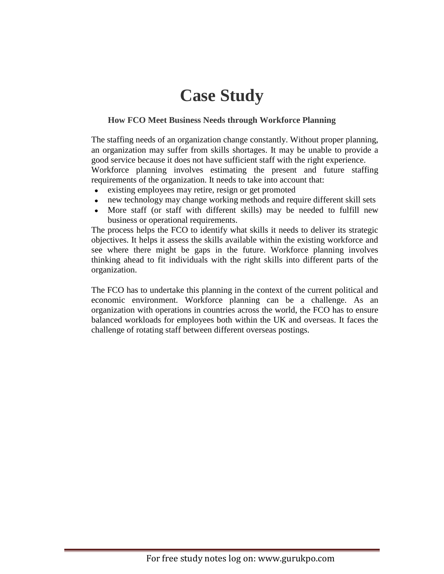## **Case Study**

## **How FCO Meet Business Needs through Workforce Planning**

The staffing needs of an organization change constantly. Without proper planning, an organization may suffer from skills shortages. It may be unable to provide a good service because it does not have sufficient staff with the right experience. Workforce planning involves estimating the present and future staffing requirements of the organization. It needs to take into account that:

- existing employees may retire, resign or get promoted  $\bullet$
- new technology may change working methods and require different skill sets
- More staff (or staff with different skills) may be needed to fulfill new  $\bullet$ business or operational requirements.

The process helps the FCO to identify what skills it needs to deliver its strategic objectives. It helps it assess the skills available within the existing workforce and see where there might be gaps in the future. Workforce planning involves thinking ahead to fit individuals with the right skills into different parts of the organization.

The FCO has to undertake this planning in the context of the current political and economic environment. Workforce planning can be a challenge. As an organization with operations in countries across the world, the FCO has to ensure balanced workloads for employees both within the UK and overseas. It faces the challenge of rotating staff between different overseas postings.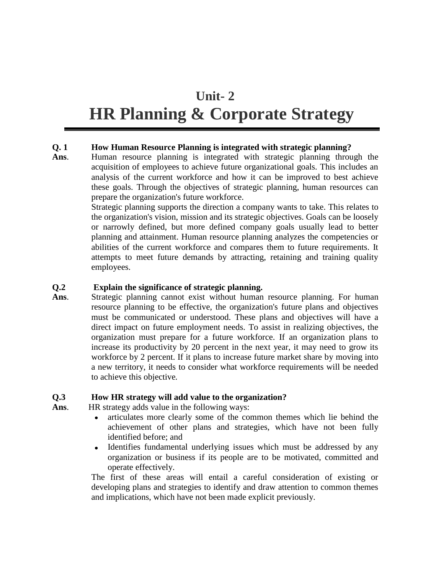## **Unit- 2**

## **HR Planning & Corporate Strategy**

## **Q. 1 How Human Resource Planning is integrated with strategic planning?**

**Ans**. Human resource planning is integrated with strategic planning through the acquisition of employees to achieve future organizational goals. This includes an analysis of the current workforce and how it can be improved to best achieve these goals. Through the objectives of strategic planning, human resources can prepare the organization's future workforce.

> Strategic planning supports the direction a company wants to take. This relates to the organization's vision, mission and its strategic objectives. Goals can be loosely or narrowly defined, but more defined company goals usually lead to better planning and attainment. Human resource planning analyzes the competencies or abilities of the current workforce and compares them to future requirements. It attempts to meet future demands by attracting, retaining and training quality employees.

### **Q.2 Explain the significance of strategic planning.**

**Ans**. Strategic planning cannot exist without human resource planning. For human resource planning to be effective, the organization's future plans and objectives must be communicated or understood. These plans and objectives will have a direct impact on future employment needs. To assist in realizing objectives, the organization must prepare for a future workforce. If an organization plans to increase its productivity by 20 percent in the next year, it may need to grow its workforce by 2 percent. If it plans to increase future market share by moving into a new territory, it needs to consider what workforce requirements will be needed to achieve this objective*.*

## **Q.3 How HR strategy will add value to the organization?**

**Ans**. HR strategy adds value in the following ways:

- articulates more clearly some of the common themes which lie behind the  $\bullet$ achievement of other plans and strategies, which have not been fully identified before; and
- Identifies fundamental underlying issues which must be addressed by any organization or business if its people are to be motivated, committed and operate effectively.

The first of these areas will entail a careful consideration of existing or developing plans and strategies to identify and draw attention to common themes and implications, which have not been made explicit previously.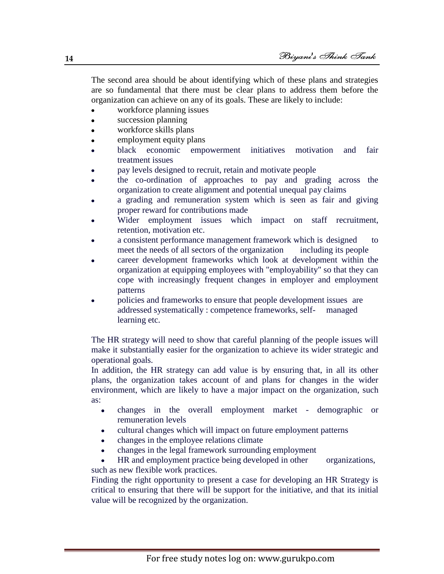The second area should be about identifying which of these plans and strategies are so fundamental that there must be clear plans to address them before the organization can achieve on any of its goals. These are likely to include:

- workforce planning issues
- succession planning  $\bullet$
- workforce skills plans
- employment equity plans
- black economic empowerment initiatives motivation and fair treatment issues
- pay levels designed to recruit, retain and motivate people
- the co-ordination of approaches to pay and grading across the organization to create alignment and potential unequal pay claims
- a grading and remuneration system which is seen as fair and giving proper reward for contributions made
- Wider employment issues which impact on staff recruitment, retention, motivation etc.
- a consistent performance management framework which is designed to meet the needs of all sectors of the organization including its people
- career development frameworks which look at development within the organization at equipping employees with "employability" so that they can cope with increasingly frequent changes in employer and employment patterns
- policies and frameworks to ensure that people development issues are addressed systematically : competence frameworks, self- managed learning etc.

The HR strategy will need to show that careful planning of the people issues will make it substantially easier for the organization to achieve its wider strategic and operational goals.

In addition, the HR strategy can add value is by ensuring that, in all its other plans, the organization takes account of and plans for changes in the wider environment, which are likely to have a major impact on the organization, such as:

- changes in the overall employment market demographic or  $\bullet$ remuneration levels
- cultural changes which will impact on future employment patterns
- changes in the employee relations climate
- changes in the legal framework surrounding employment
- HR and employment practice being developed in other organizations, such as new flexible work practices.

Finding the right opportunity to present a case for developing an HR Strategy is critical to ensuring that there will be support for the initiative, and that its initial value will be recognized by the organization.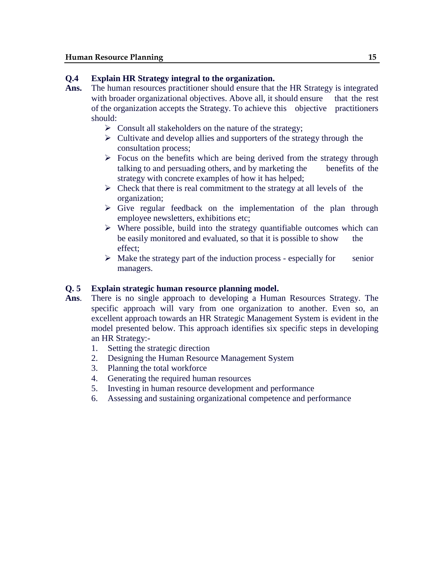#### **Q.4 Explain HR Strategy integral to the organization.**

- **Ans.** The human resources practitioner should ensure that the HR Strategy is integrated with broader organizational objectives. Above all, it should ensure that the rest of the organization accepts the Strategy. To achieve this objective practitioners should:
	- $\triangleright$  Consult all stakeholders on the nature of the strategy;
	- $\triangleright$  Cultivate and develop allies and supporters of the strategy through the consultation process;
	- $\triangleright$  Focus on the benefits which are being derived from the strategy through talking to and persuading others, and by marketing the benefits of the strategy with concrete examples of how it has helped;
	- $\triangleright$  Check that there is real commitment to the strategy at all levels of the organization;
	- $\triangleright$  Give regular feedback on the implementation of the plan through employee newsletters, exhibitions etc;
	- $\triangleright$  Where possible, build into the strategy quantifiable outcomes which can be easily monitored and evaluated, so that it is possible to show the effect;
	- $\triangleright$  Make the strategy part of the induction process especially for senior managers.

#### **Q. 5 Explain strategic human resource planning model.**

- **Ans**. There is no single approach to developing a Human Resources Strategy. The specific approach will vary from one organization to another. Even so, an excellent approach towards an HR Strategic Management System is evident in the model presented below. This approach identifies six specific steps in developing an HR Strategy:-
	- 1. Setting the strategic direction
	- 2. Designing the Human Resource Management System
	- 3. Planning the total workforce
	- 4. Generating the required human resources
	- 5. Investing in human resource development and performance
	- 6. Assessing and sustaining organizational competence and performance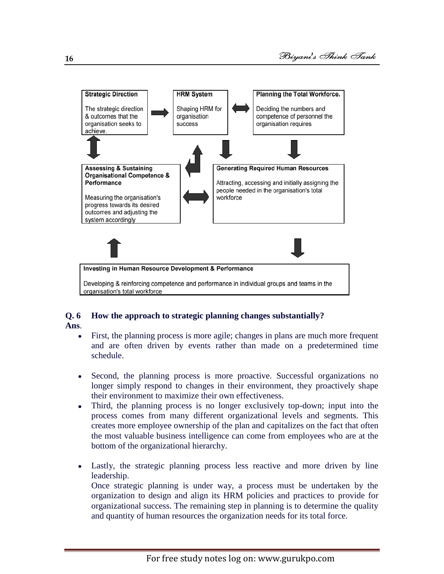

## **Q. 6 How the approach to strategic planning changes substantially? Ans**.

- First, the planning process is more agile; changes in plans are much more frequent  $\bullet$ and are often driven by events rather than made on a predetermined time schedule.
- $\bullet$ Second, the planning process is more proactive. Successful organizations no longer simply respond to changes in their environment, they proactively shape their environment to maximize their own effectiveness.
- Third, the planning process is no longer exclusively top-down; input into the process comes from many different organizational levels and segments. This creates more employee ownership of the plan and capitalizes on the fact that often the most valuable business intelligence can come from employees who are at the bottom of the organizational hierarchy.
- Lastly, the strategic planning process less reactive and more driven by line  $\bullet$ leadership.

Once strategic planning is under way, a process must be undertaken by the organization to design and align its HRM policies and practices to provide for organizational success. The remaining step in planning is to determine the quality and quantity of human resources the organization needs for its total force.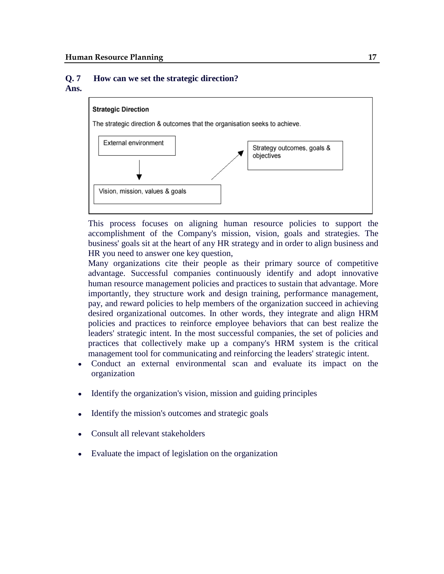#### **Q. 7 How can we set the strategic direction? Ans.**



This process focuses on aligning human resource policies to support the accomplishment of the Company's mission, vision, goals and strategies. The business' goals sit at the heart of any HR strategy and in order to align business and HR you need to answer one key question,

Many organizations cite their people as their primary source of competitive advantage. Successful companies continuously identify and adopt innovative human resource management policies and practices to sustain that advantage. More importantly, they structure work and design training, performance management, pay, and reward policies to help members of the organization succeed in achieving desired organizational outcomes. In other words, they integrate and align HRM policies and practices to reinforce employee behaviors that can best realize the leaders' strategic intent. In the most successful companies, the set of policies and practices that collectively make up a company's HRM system is the critical management tool for communicating and reinforcing the leaders' strategic intent.

- Conduct an external environmental scan and evaluate its impact on the organization
- Identify the organization's vision, mission and guiding principles  $\bullet$
- Identify the mission's outcomes and strategic goals
- Consult all relevant stakeholders
- Evaluate the impact of legislation on the organization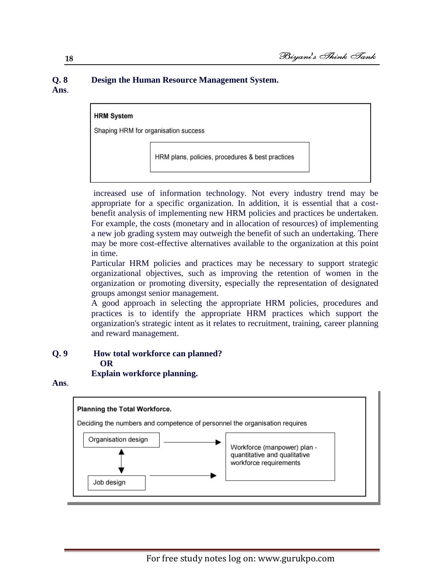#### **Q. 8 Design the Human Resource Management System. Ans**.



increased use of information technology. Not every industry trend may be appropriate for a specific organization. In addition, it is essential that a costbenefit analysis of implementing new HRM policies and practices be undertaken. For example, the costs (monetary and in allocation of resources) of implementing a new job grading system may outweigh the benefit of such an undertaking. There may be more cost-effective alternatives available to the organization at this point in time.

Particular HRM policies and practices may be necessary to support strategic organizational objectives, such as improving the retention of women in the organization or promoting diversity, especially the representation of designated groups amongst senior management.

A good approach in selecting the appropriate HRM policies, procedures and practices is to identify the appropriate HRM practices which support the organization's strategic intent as it relates to recruitment, training, career planning and reward management.

## **Q. 9 How total workforce can planned? OR**

 **Explain workforce planning.**

**Ans**.

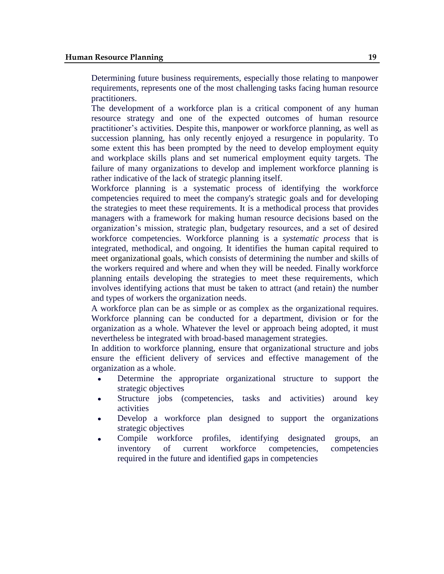Determining future business requirements, especially those relating to manpower requirements, represents one of the most challenging tasks facing human resource practitioners.

The development of a workforce plan is a critical component of any human resource strategy and one of the expected outcomes of human resource practitioner's activities. Despite this, manpower or workforce planning, as well as succession planning, has only recently enjoyed a resurgence in popularity. To some extent this has been prompted by the need to develop employment equity and workplace skills plans and set numerical employment equity targets. The failure of many organizations to develop and implement workforce planning is rather indicative of the lack of strategic planning itself.

Workforce planning is a systematic process of identifying the workforce competencies required to meet the company's strategic goals and for developing the strategies to meet these requirements. It is a methodical process that provides managers with a framework for making human resource decisions based on the organization's mission, strategic plan, budgetary resources, and a set of desired workforce competencies. Workforce planning is a *systematic process* that is integrated, methodical, and ongoing. It identifies the human capital required to meet organizational goals, which consists of determining the number and skills of the workers required and where and when they will be needed. Finally workforce planning entails developing the strategies to meet these requirements, which involves identifying actions that must be taken to attract (and retain) the number and types of workers the organization needs.

A workforce plan can be as simple or as complex as the organizational requires. Workforce planning can be conducted for a department, division or for the organization as a whole. Whatever the level or approach being adopted, it must nevertheless be integrated with broad-based management strategies.

In addition to workforce planning, ensure that organizational structure and jobs ensure the efficient delivery of services and effective management of the organization as a whole.

- Determine the appropriate organizational structure to support the strategic objectives
- Structure jobs (competencies, tasks and activities) around key  $\bullet$ activities
- Develop a workforce plan designed to support the organizations strategic objectives
- Compile workforce profiles, identifying designated groups, an inventory of current workforce competencies, competencies required in the future and identified gaps in competencies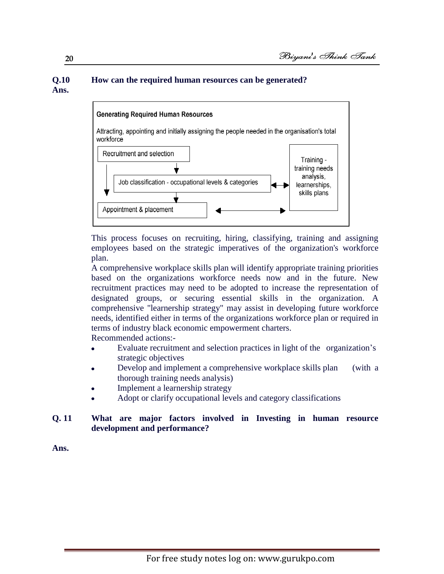## **Q.10 How can the required human resources can be generated? Ans.**



This process focuses on recruiting, hiring, classifying, training and assigning employees based on the strategic imperatives of the organization's workforce plan.

A comprehensive workplace skills plan will identify appropriate training priorities based on the organizations workforce needs now and in the future. New recruitment practices may need to be adopted to increase the representation of designated groups, or securing essential skills in the organization. A comprehensive "learnership strategy" may assist in developing future workforce needs, identified either in terms of the organizations workforce plan or required in terms of industry black economic empowerment charters.

Recommended actions:-

- Evaluate recruitment and selection practices in light of the organization's  $\bullet$ strategic objectives
- Develop and implement a comprehensive workplace skills plan (with a thorough training needs analysis)
- Implement a learnership strategy
- Adopt or clarify occupational levels and category classifications

#### **Q. 11 What are major factors involved in Investing in human resource development and performance?**

**Ans.**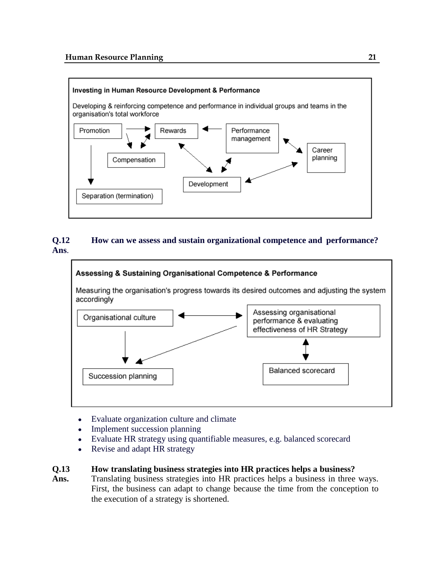

## **Q.12 How can we assess and sustain organizational competence and performance? Ans**.



- Evaluate organization culture and climate  $\bullet$
- Implement succession planning
- Evaluate HR strategy using quantifiable measures, e.g. balanced scorecard  $\bullet$
- Revise and adapt HR strategy  $\bullet$

## **Q.13 How translating business strategies into HR practices helps a business?**

Ans. Translating business strategies into HR practices helps a business in three ways. First, the business can adapt to change because the time from the conception to the execution of a strategy is shortened.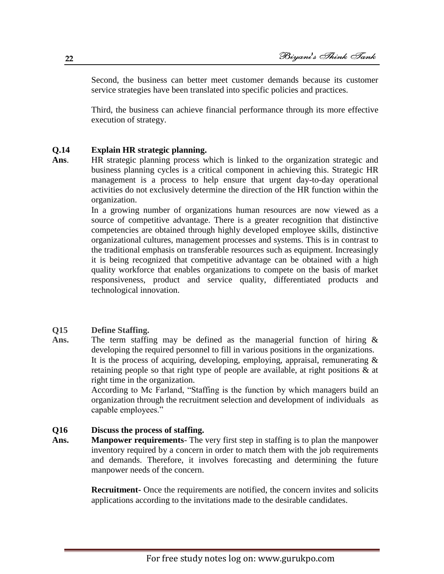Second, the business can better meet customer demands because its customer service strategies have been translated into specific policies and practices.

Third, the business can achieve financial performance through its more effective execution of strategy.

#### **Q.14 Explain HR strategic planning.**

**Ans**. HR strategic planning process which is linked to the organization strategic and business planning cycles is a critical component in achieving this. Strategic HR management is a process to help ensure that urgent day-to-day operational activities do not exclusively determine the direction of the HR function within the organization.

> In a growing number of organizations human resources are now viewed as a source of competitive advantage. There is a greater recognition that distinctive competencies are obtained through highly developed employee skills, distinctive organizational cultures, management processes and systems. This is in contrast to the traditional emphasis on transferable resources such as equipment. Increasingly it is being recognized that competitive advantage can be obtained with a high quality workforce that enables organizations to compete on the basis of market responsiveness, product and service quality, differentiated products and technological innovation.

#### **Q15 Define Staffing.**

**Ans.** The term staffing may be defined as the managerial function of hiring & developing the required personnel to fill in various positions in the organizations. It is the process of acquiring, developing, employing, appraisal, remunerating  $\&$ retaining people so that right type of people are available, at right positions & at right time in the organization.

> According to Mc Farland, "Staffing is the function by which managers build an organization through the recruitment selection and development of individuals as capable employees."

#### **Q16 Discuss the process of staffing.**

**Ans. Manpower requirements**- The very first step in staffing is to plan the manpower inventory required by a concern in order to match them with the job requirements and demands. Therefore, it involves forecasting and determining the future manpower needs of the concern.

> **Recruitment-** Once the requirements are notified, the concern invites and solicits applications according to the invitations made to the desirable candidates.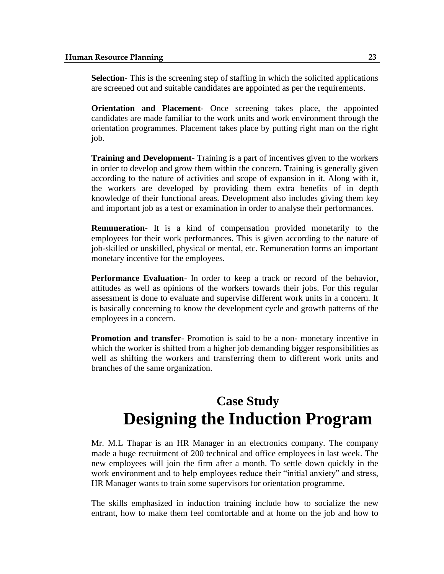**Selection-** This is the screening step of staffing in which the solicited applications are screened out and suitable candidates are appointed as per the requirements.

**Orientation and Placement**- Once screening takes place, the appointed candidates are made familiar to the work units and work environment through the orientation programmes. Placement takes place by putting right man on the right job.

**Training and Development**- Training is a part of incentives given to the workers in order to develop and grow them within the concern. Training is generally given according to the nature of activities and scope of expansion in it. Along with it, the workers are developed by providing them extra benefits of in depth knowledge of their functional areas. Development also includes giving them key and important job as a test or examination in order to analyse their performances.

**Remuneration-** It is a kind of compensation provided monetarily to the employees for their work performances. This is given according to the nature of job-skilled or unskilled, physical or mental, etc. Remuneration forms an important monetary incentive for the employees.

**Performance Evaluation**- In order to keep a track or record of the behavior, attitudes as well as opinions of the workers towards their jobs. For this regular assessment is done to evaluate and supervise different work units in a concern. It is basically concerning to know the development cycle and growth patterns of the employees in a concern.

**Promotion and transfer**- Promotion is said to be a non- monetary incentive in which the worker is shifted from a higher job demanding bigger responsibilities as well as shifting the workers and transferring them to different work units and branches of the same organization.

## **Case Study Designing the Induction Program**

Mr. M.L Thapar is an HR Manager in an electronics company. The company made a huge recruitment of 200 technical and office employees in last week. The new employees will join the firm after a month. To settle down quickly in the work environment and to help employees reduce their "initial anxiety" and stress, HR Manager wants to train some supervisors for orientation programme.

The skills emphasized in induction training include how to socialize the new entrant, how to make them feel comfortable and at home on the job and how to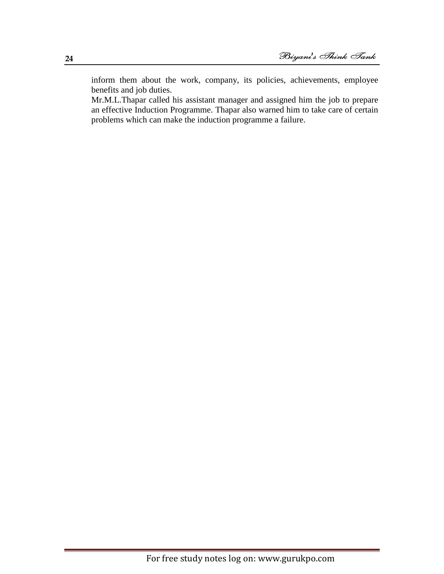inform them about the work, company, its policies, achievements, employee benefits and job duties.

Mr.M.L.Thapar called his assistant manager and assigned him the job to prepare an effective Induction Programme. Thapar also warned him to take care of certain problems which can make the induction programme a failure.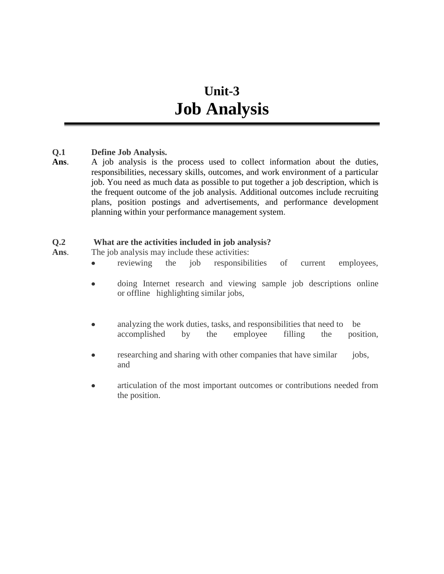## **Unit-3 Job Analysis**

## **Q.1 Define Job Analysis.**

**Ans**. A job analysis is the process used to collect information about the duties, responsibilities, necessary skills, outcomes, and work environment of a particular job. You need as much data as possible to put together a [job description,](http://humanresources.about.com/od/jobdescriptions/g/job_description.htm) which is the frequent outcome of the job analysis. Additional outcomes include recruiting plans, [position postings and advertisements,](http://humanresources.about.com/od/careerandjobsearchhelp/a/post_jobs.htm) and [performance development](http://humanresources.about.com/cs/perfmeasurement/a/pdp.htm)  [planning](http://humanresources.about.com/cs/perfmeasurement/a/pdp.htm) within your [performance management system.](http://humanresources.about.com/od/performancemanagement/a/perfmgmt.htm)

#### **Q.2 What are the activities included in job analysis?**

Ans. The job analysis may include these activities:

- reviewing the job responsibilities of current employees,  $\bullet$
- doing Internet research and viewing sample job descriptions online  $\bullet$ or offline highlighting similar jobs,
- analyzing the work duties, tasks, and responsibilities that need to be  $\bullet$ accomplished by the employee filling the position,
- researching and sharing with other companies that have similar jobs, and
- articulation of the most important outcomes or contributions needed from the position.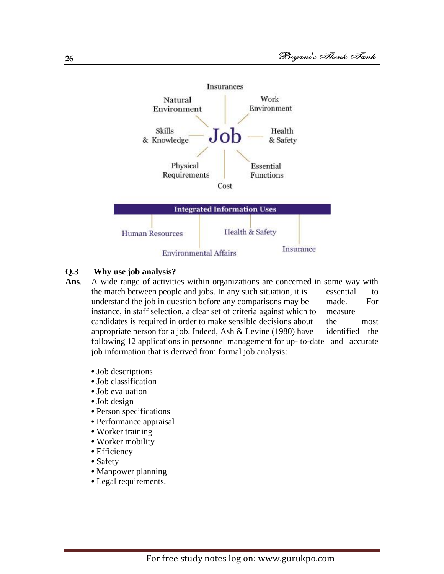

#### **Q.3 Why use job analysis?**

- **Ans**. A wide range of activities within organizations are concerned in some way with the match between people and jobs. In any such situation, it is essential to understand the job in question before any comparisons may be made. For instance, in staff selection, a clear set of criteria against which to measure candidates is required in order to make sensible decisions about the most appropriate person for a job. Indeed, Ash  $&$  Levine (1980) have identified the following 12 applications in personnel management for up- to-date and accurate job information that is derived from formal job analysis:
	- Job descriptions
	- Job classification
	- Job evaluation
	- Job design
	- Person specifications
	- Performance appraisal
	- Worker training
	- Worker mobility
	- Efficiency
	- Safety
	- Manpower planning
	- Legal requirements.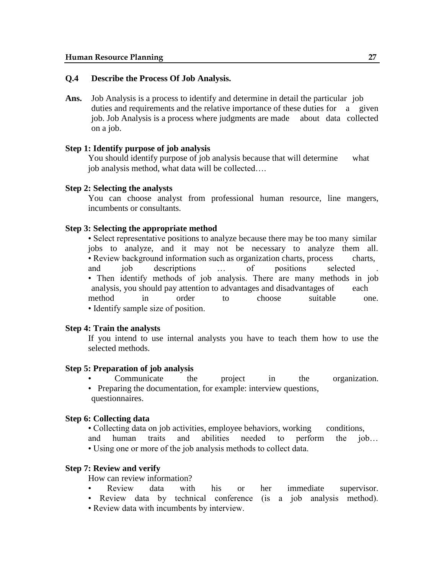#### **Q.4 Describe the Process Of Job Analysis.**

**Ans.** Job Analysis is a process to identify and determine in detail the particular job duties and requirements and the relative importance of these duties for a given job. Job Analysis is a process where judgments are made about data collected on a job.

#### **Step 1: Identify purpose of job analysis**

You should identify purpose of job analysis because that will determine what job analysis method, what data will be collected….

#### **Step 2: Selecting the analysts**

You can choose analyst from professional human resource, line mangers, incumbents or consultants.

#### **Step 3: Selecting the appropriate method**

• Select representative positions to analyze because there may be too many similar jobs to analyze, and it may not be necessary to analyze them all. • Review background information such as organization charts, process charts, and job descriptions ... of positions selected • Then identify methods of job analysis. There are many methods in job analysis, you should pay attention to advantages and disadvantages of each method in order to choose suitable one. • Identify sample size of position.

#### **Step 4: Train the analysts**

If you intend to use internal analysts you have to teach them how to use the selected methods.

#### **Step 5: Preparation of job analysis**

- Communicate the project in the organization.
- Preparing the documentation, for example: interview questions, questionnaires.

#### **Step 6: Collecting data**

• Collecting data on job activities, employee behaviors, working conditions, and human traits and abilities needed to perform the job… • Using one or more of the job analysis methods to collect data.

#### **Step 7: Review and verify**

How can review information?

- Review data with his or her immediate supervisor.
- Review data by technical conference (is a job analysis method).
- Review data with incumbents by interview.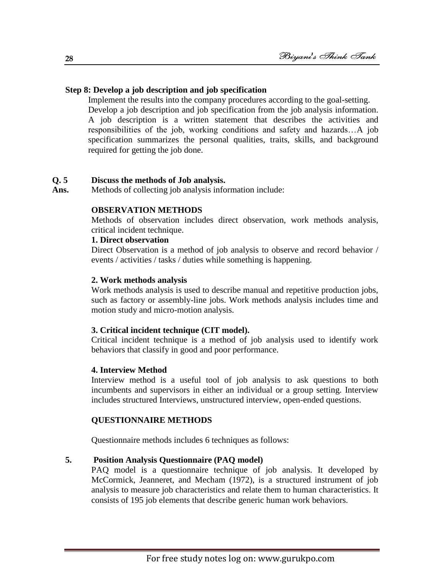## **Step 8: Develop a job description and job specification**

Implement the results into the company procedures according to the goal-setting. Develop a job description and job specification from the job analysis information. A job description is a written statement that describes the activities and responsibilities of the job, working conditions and safety and hazards…A job specification summarizes the personal qualities, traits, skills, and background required for getting the job done.

#### **Q. 5 Discuss the methods of Job analysis.**

Ans. Methods of collecting job analysis information include:

#### **OBSERVATION METHODS**

Methods of observation includes direct observation, work methods analysis, critical incident technique.

#### **1. Direct observation**

Direct Observation is a method of job analysis to observe and record behavior / events / activities / tasks / duties while something is happening.

#### **2. Work methods analysis**

Work methods analysis is used to describe manual and repetitive production jobs, such as factory or assembly-line jobs. Work methods analysis includes time and motion study and micro-motion analysis.

#### **3. Critical incident technique (CIT model).**

Critical incident technique is a method of job analysis used to identify work behaviors that classify in good and poor performance.

#### **4. Interview Method**

Interview method is a useful tool of job analysis to ask questions to both incumbents and supervisors in either an individual or a group setting. Interview includes structured Interviews, unstructured interview, open-ended questions.

## **QUESTIONNAIRE METHODS**

Questionnaire methods includes 6 techniques as follows:

## **5. Position Analysis Questionnaire (PAQ model)**

PAQ model is a questionnaire technique of job analysis. It developed by McCormick, Jeanneret, and Mecham (1972), is a structured instrument of job analysis to measure job characteristics and relate them to human characteristics. It consists of 195 job elements that describe generic human work behaviors.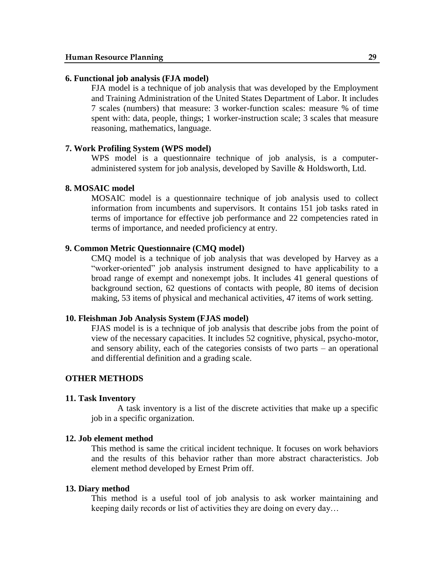#### **6. Functional job analysis (FJA model)**

FJA model is a technique of job analysis that was developed by the Employment and Training Administration of the United States Department of Labor. It includes 7 scales (numbers) that measure: 3 worker-function scales: measure % of time spent with: data, people, things; 1 worker-instruction scale; 3 scales that measure reasoning, mathematics, language.

#### **7. Work Profiling System (WPS model)**

WPS model is a questionnaire technique of job analysis, is a computeradministered system for job analysis, developed by Saville & Holdsworth, Ltd.

#### **8. MOSAIC model**

MOSAIC model is a questionnaire technique of job analysis used to collect information from incumbents and supervisors. It contains 151 job tasks rated in terms of importance for effective job performance and 22 competencies rated in terms of importance, and needed proficiency at entry.

#### **9. Common Metric Questionnaire (CMQ model)**

CMQ model is a technique of job analysis that was developed by Harvey as a "worker-oriented" job analysis instrument designed to have applicability to a broad range of exempt and nonexempt jobs. It includes 41 general questions of background section, 62 questions of contacts with people, 80 items of decision making, 53 items of physical and mechanical activities, 47 items of work setting.

#### **10. Fleishman Job Analysis System (FJAS model)**

FJAS model is is a technique of job analysis that describe jobs from the point of view of the necessary capacities. It includes 52 cognitive, physical, psycho-motor, and sensory ability, each of the categories consists of two parts – an operational and differential definition and a grading scale.

#### **OTHER METHODS**

#### **11. Task Inventory**

A task inventory is a list of the discrete activities that make up a specific job in a specific organization.

#### **12. Job element method**

This method is same the critical incident technique. It focuses on work behaviors and the results of this behavior rather than more abstract characteristics. Job element method developed by Ernest Prim off.

#### **13. Diary method**

This method is a useful tool of job analysis to ask worker maintaining and keeping daily records or list of activities they are doing on every day…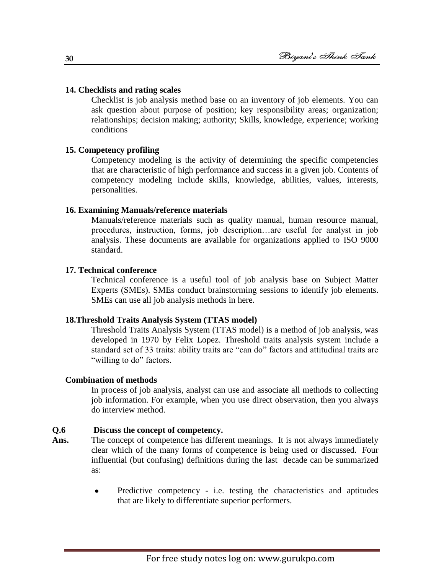#### **14. Checklists and rating scales**

Checklist is job analysis method base on an inventory of job elements. You can ask question about purpose of position; key responsibility areas; organization; relationships; decision making; authority; Skills, knowledge, experience; working conditions

#### **15. Competency profiling**

Competency modeling is the activity of determining the specific competencies that are characteristic of high performance and success in a given job. Contents of competency modeling include skills, knowledge, abilities, values, interests, personalities.

#### **16. Examining Manuals/reference materials**

Manuals/reference materials such as quality manual, human resource manual, procedures, instruction, forms, job description…are useful for analyst in job analysis. These documents are available for organizations applied to ISO 9000 standard.

#### **17. Technical conference**

Technical conference is a useful tool of job analysis base on Subject Matter Experts (SMEs). SMEs conduct brainstorming sessions to identify job elements. SMEs can use all job analysis methods in here.

#### **18.Threshold Traits Analysis System (TTAS model)**

Threshold Traits Analysis System (TTAS model) is a method of job analysis, was developed in 1970 by Felix Lopez. Threshold traits analysis system include a standard set of 33 traits: ability traits are "can do" factors and attitudinal traits are "willing to do" factors.

#### **Combination of methods**

In process of job analysis, analyst can use and associate all methods to collecting job information. For example, when you use direct observation, then you always do interview method.

#### **Q.6 Discuss the concept of competency.**

- **Ans.** The concept of competence has different meanings. It is not always immediately clear which of the many forms of competence is being used or discussed. Four influential (but confusing) definitions during the last decade can be summarized as:
	- Predictive competency i.e. testing the characteristics and aptitudes  $\bullet$ that are likely to differentiate superior performers.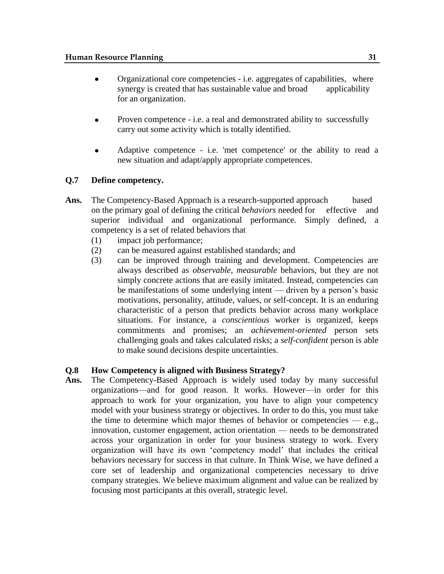- Organizational core competencies i.e. aggregates of capabilities, where synergy is created that has sustainable value and broad applicability for an organization.
- Proven competence i.e. a real and demonstrated ability to successfully  $\bullet$ carry out some activity which is totally identified.
- Adaptive competence i.e. 'met competence' or the ability to read a  $\bullet$ new situation and adapt/apply appropriate competences.

#### **Q.7 Define competency.**

- Ans. The Competency-Based Approach is a research-supported approach based on the primary goal of defining the critical *behaviors* needed for effective and superior individual and organizational performance. Simply defined, a competency is a set of related behaviors that
	- (1) impact job performance;
	- (2) can be measured against established standards; and
	- (3) can be improved through training and development. Competencies are always described as *observable, measurable* behaviors, but they are not simply concrete actions that are easily imitated. Instead, competencies can be manifestations of some underlying intent — driven by a person's basic motivations, personality, attitude, values, or self-concept. It is an enduring characteristic of a person that predicts behavior across many workplace situations. For instance, a *conscientious* worker is organized, keeps commitments and promises; an *achievement-oriented* person sets challenging goals and takes calculated risks; a *self-confident* person is able to make sound decisions despite uncertainties.

#### **Q.8 How Competency is aligned with Business Strategy?**

**Ans.** The Competency-Based Approach is widely used today by many successful organizations—and for good reason. It works. However—in order for this approach to work for your organization, you have to align your competency model with your business strategy or objectives. In order to do this, you must take the time to determine which major themes of behavior or competencies  $-$  e.g., innovation, customer engagement, action orientation — needs to be demonstrated across your organization in order for your business strategy to work. Every organization will have its own ‗competency model' that includes the critical behaviors necessary for success in that culture. In Think Wise, we have defined a core set of leadership and organizational competencies necessary to drive company strategies. We believe maximum alignment and value can be realized by focusing most participants at this overall, strategic level.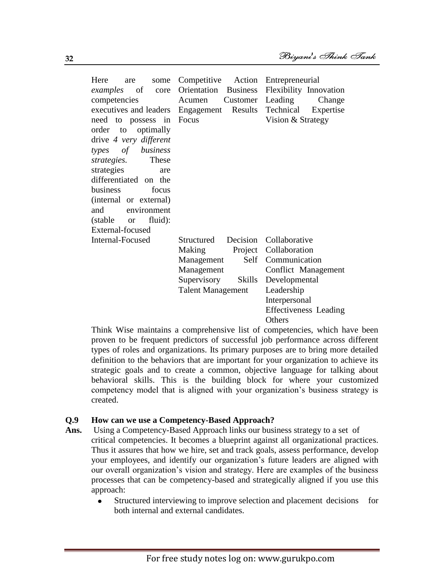| Here<br>some<br>are<br><i>examples</i> of core<br>competencies<br>need to possess in<br>order to optimally<br>drive 4 very different<br>types of business<br>These<br>strategies.<br>strategies<br>are<br>differentiated on the<br>business<br>focus<br>(internal or external)<br>and<br>environment<br>(stable or<br>fluid):<br>External-focused | Competitive Action<br>Orientation Business<br>Customer<br>Acumen<br>executives and leaders Engagement Results<br>Focus | Entrepreneurial<br>Flexibility Innovation<br>Leading<br>Change<br>Technical Expertise<br>Vision & Strategy |
|---------------------------------------------------------------------------------------------------------------------------------------------------------------------------------------------------------------------------------------------------------------------------------------------------------------------------------------------------|------------------------------------------------------------------------------------------------------------------------|------------------------------------------------------------------------------------------------------------|
| Internal-Focused                                                                                                                                                                                                                                                                                                                                  | Structured Decision Collaborative                                                                                      | Project Collaboration                                                                                      |
|                                                                                                                                                                                                                                                                                                                                                   | Making<br>Self<br>Management                                                                                           | Communication                                                                                              |
|                                                                                                                                                                                                                                                                                                                                                   | Management                                                                                                             | Conflict Management                                                                                        |
|                                                                                                                                                                                                                                                                                                                                                   | Supervisory<br>Skills                                                                                                  | Developmental                                                                                              |
|                                                                                                                                                                                                                                                                                                                                                   | <b>Talent Management</b>                                                                                               | Leadership                                                                                                 |
|                                                                                                                                                                                                                                                                                                                                                   |                                                                                                                        | Interpersonal                                                                                              |
|                                                                                                                                                                                                                                                                                                                                                   |                                                                                                                        | <b>Effectiveness Leading</b><br>Others                                                                     |

Think Wise maintains a comprehensive list of competencies, which have been proven to be frequent predictors of successful job performance across different types of roles and organizations. Its primary purposes are to bring more detailed definition to the behaviors that are important for your organization to achieve its strategic goals and to create a common, objective language for talking about behavioral skills. This is the building block for where your customized competency model that is aligned with your organization's business strategy is created.

#### **Q.9 How can we use a Competency-Based Approach?**

- **Ans.** Using a Competency-Based Approach links our business strategy to a set of critical competencies. It becomes a blueprint against all organizational practices. Thus it assures that how we hire, set and track goals, assess performance, develop your employees, and identify our organization's future leaders are aligned with our overall organization's vision and strategy. Here are examples of the business processes that can be competency-based and strategically aligned if you use this approach:
	- $\bullet$ Structured interviewing to improve selection and placement decisions for both internal and external candidates.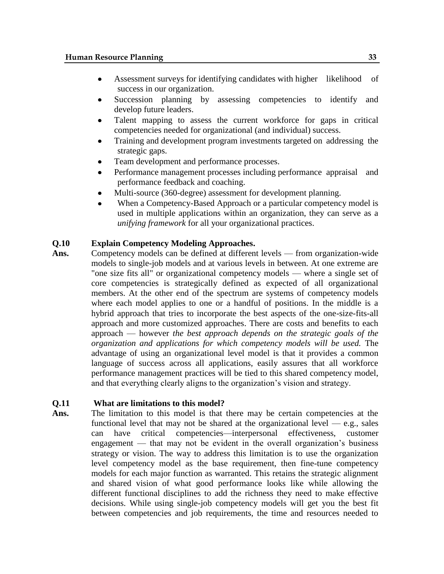- Assessment surveys for identifying candidates with higher likelihood of  $\bullet$ success in our organization.
- Succession planning by assessing competencies to identify and develop future leaders.
- Talent mapping to assess the current workforce for gaps in critical competencies needed for organizational (and individual) success.
- Training and development program investments targeted on addressing the strategic gaps.
- Team development and performance processes.
- Performance management processes including performance appraisal and performance feedback and coaching.
- Multi-source (360-degree) assessment for development planning.
- When a Competency-Based Approach or a particular competency model is used in multiple applications within an organization, they can serve as a *unifying framework* for all your organizational practices.

#### **Q.10 Explain Competency Modeling Approaches.**

**Ans.** Competency models can be defined at different levels — from organization-wide models to single-job models and at various levels in between. At one extreme are "one size fits all" or organizational competency models — where a single set of core competencies is strategically defined as expected of all organizational members. At the other end of the spectrum are systems of competency models where each model applies to one or a handful of positions. In the middle is a hybrid approach that tries to incorporate the best aspects of the one-size-fits-all approach and more customized approaches. There are costs and benefits to each approach — however *the best approach depends on the strategic goals of the organization and applications for which competency models will be used.* The advantage of using an organizational level model is that it provides a common language of success across all applications, easily assures that all workforce performance management practices will be tied to this shared competency model, and that everything clearly aligns to the organization's vision and strategy.

#### **Q.11 What are limitations to this model?**

Ans. The limitation to this model is that there may be certain competencies at the functional level that may not be shared at the organizational level — e.g., sales can have critical competencies—interpersonal effectiveness, customer engagement — that may not be evident in the overall organization's business strategy or vision. The way to address this limitation is to use the organization level competency model as the base requirement, then fine-tune competency models for each major function as warranted. This retains the strategic alignment and shared vision of what good performance looks like while allowing the different functional disciplines to add the richness they need to make effective decisions. While using single-job competency models will get you the best fit between competencies and job requirements, the time and resources needed to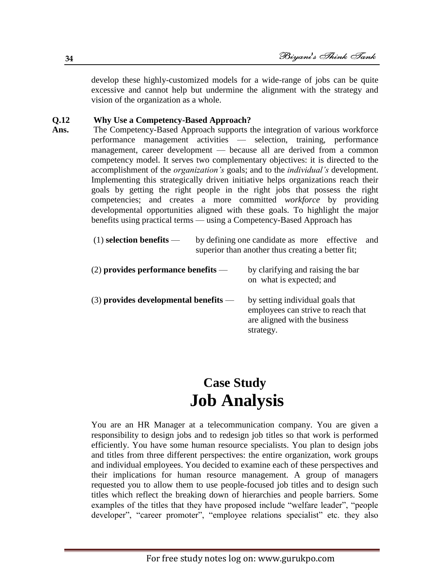develop these highly-customized models for a wide-range of jobs can be quite excessive and cannot help but undermine the alignment with the strategy and vision of the organization as a whole.

#### **Q.12 Why Use a Competency-Based Approach?**

**Ans.** The Competency-Based Approach supports the integration of various workforce performance management activities — selection, training, performance management, career development — because all are derived from a common competency model. It serves two complementary objectives: it is directed to the accomplishment of the *organization's* goals; and to the *individual's* development. Implementing this strategically driven initiative helps organizations reach their goals by getting the right people in the right jobs that possess the right competencies; and creates a more committed *workforce* by providing developmental opportunities aligned with these goals. To highlight the major benefits using practical terms — using a Competency-Based Approach has

| $(1)$ selection benefits —              | by defining one candidate as more effective<br>and<br>superior than another thus creating a better fit; |                                                                                                                      |  |
|-----------------------------------------|---------------------------------------------------------------------------------------------------------|----------------------------------------------------------------------------------------------------------------------|--|
| $(2)$ provides performance benefits —   |                                                                                                         | by clarifying and raising the bar<br>on what is expected; and                                                        |  |
| $(3)$ provides developmental benefits — |                                                                                                         | by setting individual goals that<br>employees can strive to reach that<br>are aligned with the business<br>strategy. |  |

## **Case Study Job Analysis**

You are an HR Manager at a telecommunication company. You are given a responsibility to design jobs and to redesign job titles so that work is performed efficiently. You have some human resource specialists. You plan to design jobs and titles from three different perspectives: the entire organization, work groups and individual employees. You decided to examine each of these perspectives and their implications for human resource management. A group of managers requested you to allow them to use people-focused job titles and to design such titles which reflect the breaking down of hierarchies and people barriers. Some examples of the titles that they have proposed include "welfare leader", "people developer", "career promoter", "employee relations specialist" etc. they also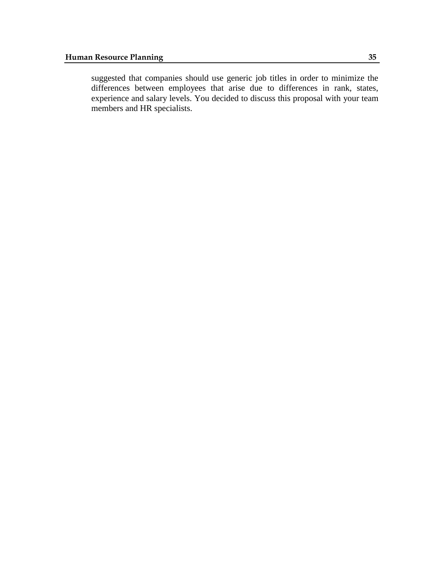suggested that companies should use generic job titles in order to minimize the differences between employees that arise due to differences in rank, states, experience and salary levels. You decided to discuss this proposal with your team members and HR specialists.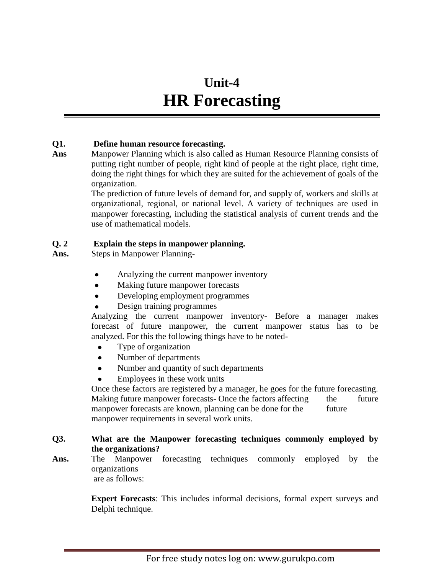## **Unit-4 HR Forecasting**

#### **Q1. Define human resource forecasting.**

**Ans** Manpower Planning which is also called as Human Resource Planning consists of putting right number of people, right kind of people at the right place, right time, doing the right things for which they are suited for the achievement of goals of the organization.

The prediction of future levels of demand for, and supply of, workers and skills at organizational, regional, or national level. A variety of techniques are used in manpower forecasting, including the statistical analysis of current trends and the use of mathematical models.

## **Q. 2 Explain the steps in manpower planning.**

**Ans.** Steps in Manpower Planning-

- Analyzing the current manpower inventory
- Making future manpower forecasts
- Developing employment programmes  $\bullet$
- Design training programmes

Analyzing the current manpower inventory- Before a manager makes forecast of future manpower, the current manpower status has to be analyzed. For this the following things have to be noted-

- Type of organization
- Number of departments  $\bullet$
- Number and quantity of such departments
- Employees in these work units

Once these factors are registered by a manager, he goes for the future forecasting. Making future manpower forecasts- Once the factors affecting the future manpower forecasts are known, planning can be done for the future manpower requirements in several work units.

## **Q3. What are the Manpower forecasting techniques commonly employed by the organizations?**

**Ans.** The Manpower forecasting techniques commonly employed by the organizations are as follows:

**Expert Forecasts**: This includes informal decisions, formal expert surveys and Delphi technique.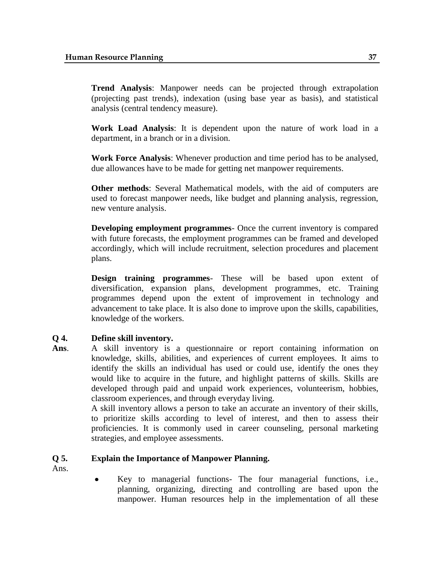**Trend Analysis**: Manpower needs can be projected through extrapolation (projecting past trends), indexation (using base year as basis), and statistical analysis (central tendency measure).

**Work Load Analysis**: It is dependent upon the nature of work load in a department, in a branch or in a division.

**Work Force Analysis**: Whenever production and time period has to be analysed, due allowances have to be made for getting net manpower requirements.

**Other methods**: Several Mathematical models, with the aid of computers are used to forecast manpower needs, like budget and planning analysis, regression, new venture analysis.

**Developing employment programmes**- Once the current inventory is compared with future forecasts, the employment programmes can be framed and developed accordingly, which will include recruitment, selection procedures and placement plans.

**Design training programmes**- These will be based upon extent of diversification, expansion plans, development programmes, etc. Training programmes depend upon the extent of improvement in technology and advancement to take place. It is also done to improve upon the skills, capabilities, knowledge of the workers.

#### **Q 4. Define skill inventory.**

**Ans**. A skill inventory is a questionnaire or report containing information on knowledge, skills, abilities, and experiences of current employees. It aims to identify the skills an individual has used or could use, identify the ones they would like to acquire in the future, and highlight patterns of skills. Skills are developed through paid and unpaid work experiences, volunteerism, hobbies, classroom experiences, and through everyday living.

> A skill inventory allows a person to take an accurate an inventory of their skills, to prioritize skills according to level of interest, and then to assess their proficiencies. It is commonly used in career counseling, personal marketing strategies, and employee assessments.

#### **Q 5. Explain the Importance of Manpower Planning.**

Ans.

Key to managerial functions- The four managerial functions, i.e.,  $\bullet$ planning, organizing, directing and controlling are based upon the manpower. Human resources help in the implementation of all these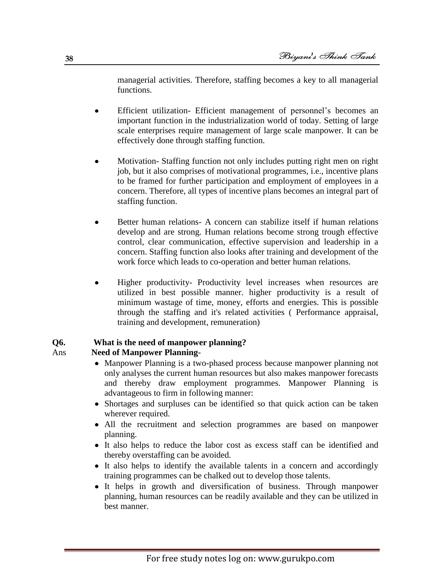managerial activities. Therefore, staffing becomes a key to all managerial functions.

- Efficient utilization- Efficient management of personnel's becomes an important function in the industrialization world of today. Setting of large scale enterprises require management of large scale manpower. It can be effectively done through staffing function.
- Motivation- Staffing function not only includes putting right men on right job, but it also comprises of motivational programmes, i.e., incentive plans to be framed for further participation and employment of employees in a concern. Therefore, all types of incentive plans becomes an integral part of staffing function.
- Better human relations- A concern can stabilize itself if human relations develop and are strong. Human relations become strong trough effective control, clear communication, effective supervision and leadership in a concern. Staffing function also looks after training and development of the work force which leads to co-operation and better human relations.
- Higher productivity- Productivity level increases when resources are  $\bullet$ utilized in best possible manner. higher productivity is a result of minimum wastage of time, money, efforts and energies. This is possible through the staffing and it's related activities ( Performance appraisal, training and development, remuneration)

## **Q6. What is the need of manpower planning?**

#### Ans **Need of Manpower Planning-**

- Manpower Planning is a two-phased process because manpower planning not only analyses the current human resources but also makes manpower forecasts and thereby draw employment programmes. Manpower Planning is advantageous to firm in following manner:
- Shortages and surpluses can be identified so that quick action can be taken wherever required.
- All the recruitment and selection programmes are based on manpower planning.
- It also helps to reduce the labor cost as excess staff can be identified and thereby overstaffing can be avoided.
- It also helps to identify the available talents in a concern and accordingly training programmes can be chalked out to develop those talents.
- It helps in growth and diversification of business. Through manpower planning, human resources can be readily available and they can be utilized in best manner.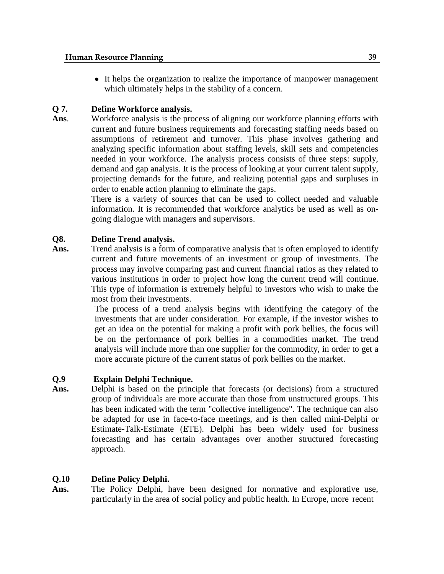It helps the organization to realize the importance of manpower management which ultimately helps in the stability of a concern.

## **Q 7. Define Workforce analysis.**

Ans. Workforce analysis is the process of aligning our workforce planning efforts with current and future business requirements and forecasting staffing needs based on assumptions of retirement and turnover. This phase involves gathering and analyzing specific information about staffing levels, skill sets and competencies needed in your workforce. The analysis process consists of three steps: supply, demand and gap analysis. It is the process of looking at your current talent supply, projecting demands for the future, and realizing potential gaps and surpluses in order to enable action planning to eliminate the gaps.

> There is a variety of sources that can be used to collect needed and valuable information. It is recommended that workforce analytics be used as well as ongoing dialogue with managers and supervisors.

## **Q8. Define Trend analysis.**

Ans. Trend analysis is a form of comparative analysis that is often employed to identify current and future movements of an investment or group of investments. The process may involve comparing past and current financial ratios as they related to various institutions in order to project how long the current trend will continue. This type of information is extremely helpful to investors who wish to make the most from their investments.

> The process of a trend analysis begins with identifying the category of the investments that are under consideration. For example, if the investor wishes to get an idea on the potential for making a profit with pork bellies, the focus will be on the performance of pork bellies in a commodities market. The trend analysis will include more than one supplier for the commodity, in order to get a more accurate picture of the current status of pork bellies on the market.

## **Q.9 Explain Delphi Technique.**

Ans. Delphi is based on the principle that forecasts (or decisions) from a structured group of individuals are more accurate than those from unstructured groups. This has been indicated with the term "collective intelligence". The technique can also be adapted for use in face-to-face meetings, and is then called mini-Delphi or Estimate-Talk-Estimate (ETE). Delphi has been widely used for business forecasting and has certain advantages over another structured forecasting approach.

## **Q.10 Define Policy Delphi.**

Ans. The Policy Delphi, have been designed for normative and explorative use, particularly in the area of social policy and public health. In Europe, more recent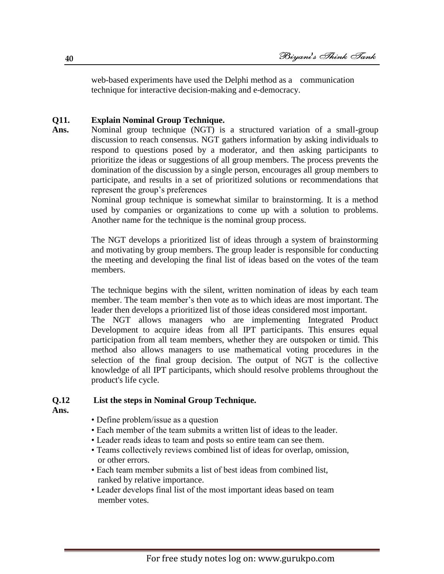web-based experiments have used the Delphi method as a communication technique for interactive decision-making and e-democracy.

#### **Q11. Explain Nominal Group Technique.**

**Ans.** Nominal group technique (NGT) is a structured variation of a small-group discussion to reach consensus. NGT gathers information by asking individuals to respond to questions posed by a moderator, and then asking participants to prioritize the ideas or suggestions of all group members. The process prevents the domination of the discussion by a single person, encourages all group members to participate, and results in a set of prioritized solutions or recommendations that represent the group's preferences

> Nominal group technique is somewhat similar to brainstorming. It is a method used by companies or organizations to come up with a solution to problems. Another name for the technique is the nominal group process.

> The NGT develops a prioritized list of ideas through a system of brainstorming and motivating by group members. The group leader is responsible for conducting the meeting and developing the final list of ideas based on the votes of the team members.

> The technique begins with the silent, written nomination of ideas by each team member. The team member's then vote as to which ideas are most important. The leader then develops a prioritized list of those ideas considered most important.

> The NGT allows managers who are implementing Integrated Product Development to acquire ideas from all IPT participants. This ensures equal participation from all team members, whether they are outspoken or timid. This method also allows managers to use mathematical voting procedures in the selection of the final group decision. The output of NGT is the collective knowledge of all IPT participants, which should resolve problems throughout the product's life cycle.

#### **Q.12 List the steps in Nominal Group Technique.**

- **Ans.**
- Define problem/issue as a question
- Each member of the team submits a written list of ideas to the leader.
- Leader reads ideas to team and posts so entire team can see them.
- Teams collectively reviews combined list of ideas for overlap, omission, or other errors.
- Each team member submits a list of best ideas from combined list, ranked by relative importance.
- Leader develops final list of the most important ideas based on team member votes.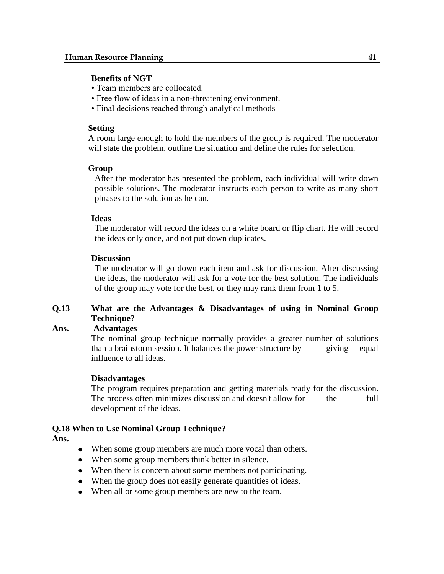#### **Benefits of NGT**

- Team members are collocated.
- Free flow of ideas in a non-threatening environment.
- Final decisions reached through analytical methods

#### **Setting**

A room large enough to hold the members of the group is required. The moderator will state the problem, outline the situation and define the rules for selection.

#### **Group**

After the moderator has presented the problem, each individual will write down possible solutions. The moderator instructs each person to write as many short phrases to the solution as he can.

#### **Ideas**

The moderator will record the ideas on a white board or flip chart. He will record the ideas only once, and not put down duplicates.

#### **Discussion**

The moderator will go down each item and ask for discussion. After discussing the ideas, the moderator will ask for a vote for the best solution. The individuals of the group may vote for the best, or they may rank them from 1 to 5.

## **Q.13 What are the Advantages & Disadvantages of using in Nominal Group Technique?**

#### **Ans. Advantages**

The nominal group technique normally provides a greater number of solutions than a brainstorm session. It balances the power structure by giving equal influence to all ideas.

#### **Disadvantages**

The program requires preparation and getting materials ready for the discussion. The process often minimizes discussion and doesn't allow for the full development of the ideas.

#### **Q.18 When to Use Nominal Group Technique?**

**Ans.**

- When some group members are much more vocal than others.
- When some group members think better in silence.
- When there is concern about some members not participating.
- When the group does not easily generate quantities of ideas.
- When all or some group members are new to the team.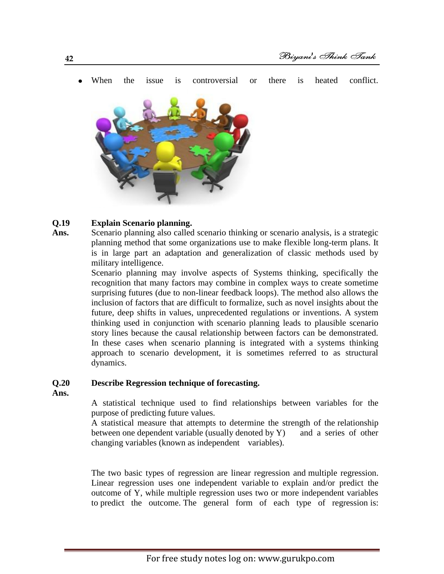When the issue is controversial or there is heated conflict.



#### **Q.19 Explain Scenario planning.**

Ans. Scenario planning also called scenario thinking or scenario analysis, is a strategic planning method that some organizations use to make flexible long-term plans. It is in large part an adaptation and generalization of classic methods used by military intelligence.

> Scenario planning may involve aspects of Systems thinking, specifically the recognition that many factors may combine in complex ways to create sometime surprising futures (due to non-linear feedback loops). The method also allows the inclusion of factors that are difficult to formalize, such as novel insights about the future, deep shifts in values, unprecedented regulations or inventions. A system thinking used in conjunction with scenario planning leads to plausible scenario story lines because the causal relationship between factors can be demonstrated. In these cases when scenario planning is integrated with a systems thinking approach to scenario development, it is sometimes referred to as structural dynamics.

#### **Q.20 Describe Regression [technique](http://www.businessdictionary.com/definition/technique.html) of forecasting.**

**Ans.**

A [statistical](http://www.investorwords.com/11184/statistical.html) [technique](http://www.businessdictionary.com/definition/technique.html) used to find [relationships](http://www.businessdictionary.com/definition/relationship.html) between [variables](http://www.investorwords.com/5219/variable.html) for the purpose of predicting [future values.](http://www.investorwords.com/2139/future_value.html)

A statistical measure that attempts to determine the strength of the relationship between one dependent variable (usually denoted by Y) and a series of other changing variables (known as independent variables).

The two basic types of regression are linear regression and multiple regression. Linear regression uses one independent variable to explain and/or predict the outcome of Y, while multiple regression uses two or more independent variables to predict the outcome. The general form of each type of regression is: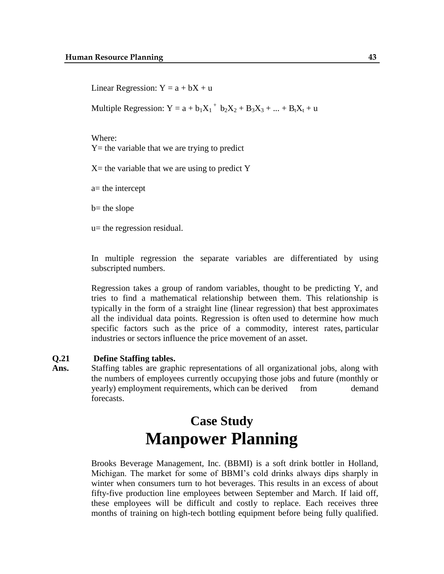Linear Regression:  $Y = a + bX + u$ 

Multiple Regression:  $Y = a + b_1X_1 + b_2X_2 + B_3X_3 + ... + B_tX_t + u$ 

Where:  $Y =$  the variable that we are trying to predict

 $X=$  the variable that we are using to predict Y

a= the intercept

 $b$ = the slope

u= the regression residual.

In multiple regression the separate variables are differentiated by using subscripted numbers.

Regression takes a group of random variables, thought to be predicting Y, and tries to find a mathematical relationship between them. This relationship is typically in the form of a straight line (linear regression) that best approximates all the individual data points. Regression is often used to determine how much specific factors such as the price of a commodity, interest rates, particular industries or sectors influence the price movement of an asset.

#### **Q.21 Define Staffing tables.**

Ans. Staffing tables are graphic representations of all organizational jobs, along with the numbers of employees currently occupying those jobs and future (monthly or yearly) employment requirements, which can be derived from demand forecasts.

## **Case Study Manpower Planning**

Brooks Beverage Management, Inc. (BBMI) is a soft drink bottler in Holland, Michigan. The market for some of BBMI's cold drinks always dips sharply in winter when consumers turn to hot beverages. This results in an excess of about fifty-five production line employees between September and March. If laid off, these employees will be difficult and costly to replace. Each receives three months of training on high-tech bottling equipment before being fully qualified.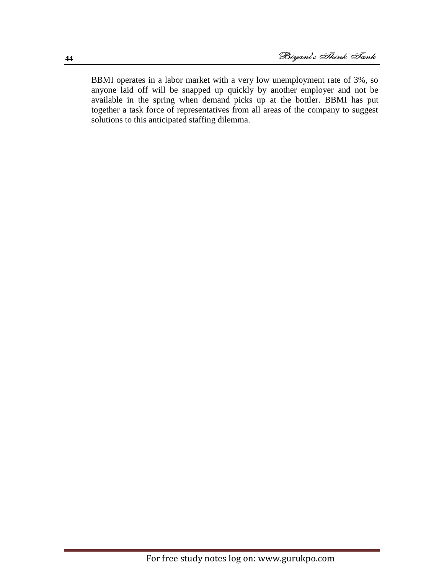BBMI operates in a labor market with a very low unemployment rate of 3%, so anyone laid off will be snapped up quickly by another employer and not be available in the spring when demand picks up at the bottler. BBMI has put together a task force of representatives from all areas of the company to suggest solutions to this anticipated staffing dilemma.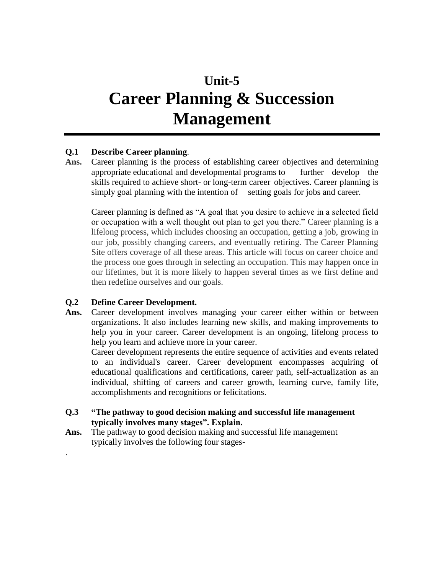## **Unit-5 Career Planning & Succession Management**

#### **Q.1 Describe Career planning**.

**Ans.** Career planning is the process of establishing career objectives and determining appropriate educational and developmental programs to further develop the skills required to achieve short- or long-term career objectives. Career planning is simply goal planning with the intention of setting goals for jobs and career.

Career planning is defined as "A goal that you desire to achieve in a selected field or occupation with a well thought out plan to get you there." Career planning is a lifelong process, which includes choosing an occupation, getting a job, growing in our job, possibly changing careers, and eventually retiring. The Career Planning Site offers coverage of all these areas. This article will focus on career choice and the process one goes through in selecting an occupation. This may happen once in our lifetimes, but it is more likely to happen several times as we first define and then redefine ourselves and our goals.

#### **Q.2 Define Career Development.**

.

**Ans.** Career development involves managing your career either within or between organizations. It also includes learning new skills, and making improvements to help you in your career. Career development is an ongoing, lifelong process to help you learn and achieve more in your career.

Career development represents the entire sequence of activities and events related to an individual's career. Career development encompasses acquiring of educational qualifications and certifications, career path, self-actualization as an individual, shifting of careers and career growth, learning curve, family life, accomplishments and recognitions or felicitations.

- **Q.3 "The pathway to good decision making and successful life management typically involves many stages". Explain.**
- **Ans.** The pathway to good decision making and successful life management typically involves the following four stages-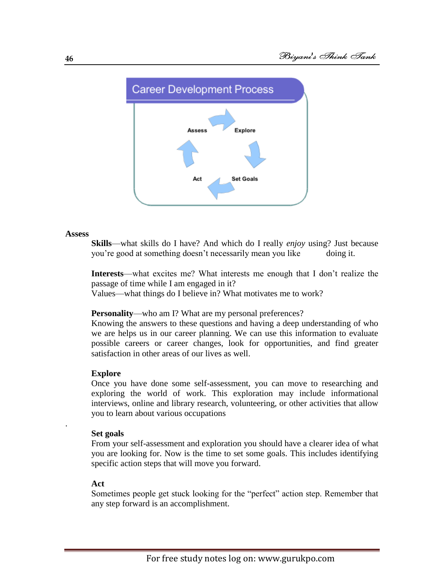

#### **Assess**

**Skills**—what skills do I have? And which do I really *enjoy* using? Just because you're good at something doesn't necessarily mean you like doing it.

**Interests**—what excites me? What interests me enough that I don't realize the passage of time while I am engaged in it?

Values—what things do I believe in? What motivates me to work?

#### **Personality—who am I? What are my personal preferences?**

Knowing the answers to these questions and having a deep understanding of who we are helps us in our career planning. We can use this information to evaluate possible careers or career changes, look for opportunities, and find greater satisfaction in other areas of our lives as well.

#### **Explore**

Once you have done some self-assessment, you can move to researching and exploring the world of work. This exploration may include [informational](http://www.dcs.wisc.edu/info/info_interview.pdf)  [interviews,](http://www.dcs.wisc.edu/info/info_interview.pdf) online and library research, volunteering, or other activities that allow you to learn about various occupations

#### **Set goals**

.

From your self-assessment and exploration you should have a clearer idea of what you are looking for. Now is the time to set some goals. This includes identifying specific action steps that will move you forward.

#### **Act**

Sometimes people get stuck looking for the "perfect" action step. Remember that any step forward is an accomplishment.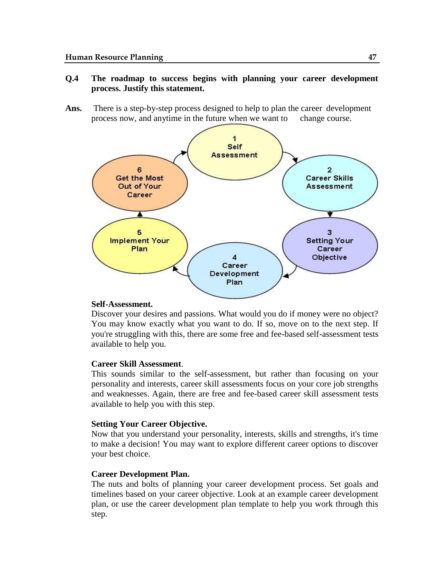#### **Q.4 The roadmap to success begins with planning your career development process. Justify this statement.**

**Ans.** There is a step-by-step process designed to help to plan the career development process now, and anytime in the future when we want to change course.



#### **Self-Assessment.**

Discover your desires and passions. What would you do if money were no object? You may know exactly what you want to do. If so, move on to the next step. If you're struggling with this, there are some free and fee-based self-assessment tests available to help you.

#### **Career Skill Assessment**.

This sounds similar to the self-assessment, but rather than focusing on your personality and interests, career skill assessments focus on your core job strengths and weaknesses. Again, there are free and fee-based career skill assessment tests available to help you with this step.

#### **Setting Your Career Objective.**

Now that you understand your personality, interests, skills and strengths, it's time to make a decision! You may want to explore different career options to discover your best choice.

#### **Career Development Plan.**

The nuts and bolts of planning your career development process. Set goals and timelines based on your career objective. Look at an example career development plan, or use the career development plan template to help you work through this step.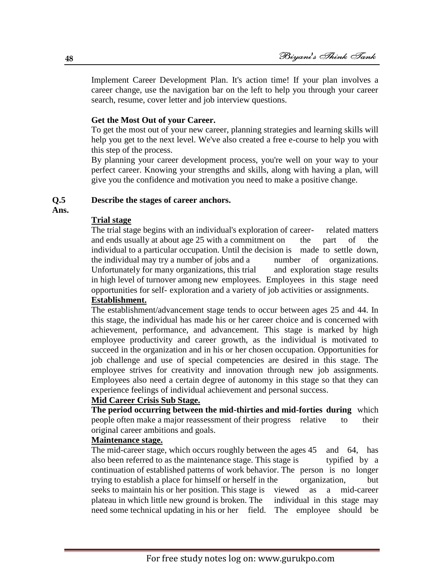Implement Career Development Plan. It's action time! If your plan involves a career change, use the navigation bar on the left to help you through your career search, resume, cover letter and job interview questions.

#### **Get the Most Out of your Career.**

To get the most out of your new career, planning strategies and learning skills will help you get to the next level. We've also created a free e-course to help you with this step of the process.

By planning your career development process, you're well on your way to your perfect career. Knowing your strengths and skills, along with having a plan, will give you the confidence and motivation you need to make a positive change.

#### **Q.5 Describe the stages of career anchors.**

**Ans.**

#### **Trial stage**

The trial stage begins with an individual's exploration of career- related matters and ends usually at about age 25 with a commitment on the part of the individual to a particular occupation. Until the decision is made to settle down, the individual may try a number of jobs and a number of organizations. Unfortunately for many organizations, this trial and exploration stage results in high level of turnover among new employees. Employees in this stage need opportunities for self- exploration and a variety of job activities or assignments.

## **Establishment.**

The establishment/advancement stage tends to occur between ages 25 and 44. In this stage, the individual has made his or her career choice and is concerned with achievement, performance, and advancement. This stage is marked by high employee productivity and career growth, as the individual is motivated to succeed in the organization and in his or her chosen occupation. Opportunities for job challenge and use of special competencies are desired in this stage. The employee strives for creativity and innovation through new job assignments. Employees also need a certain degree of autonomy in this stage so that they can experience feelings of individual achievement and personal success.

#### **Mid Career Crisis Sub Stage.**

**The period occurring between the mid-thirties and mid-forties during** which people often make a major reassessment of their progress relative to their original career ambitions and goals.

### **Maintenance stage.**

The mid-career stage, which occurs roughly between the ages 45 and 64, has also been referred to as the maintenance stage. This stage is typified by a continuation of established patterns of work behavior. The person is no longer trying to establish a place for himself or herself in the organization, but seeks to maintain his or her position. This stage is viewed as a mid-career plateau in which little new ground is broken. The individual in this stage may need some technical updating in his or her field. The employee should be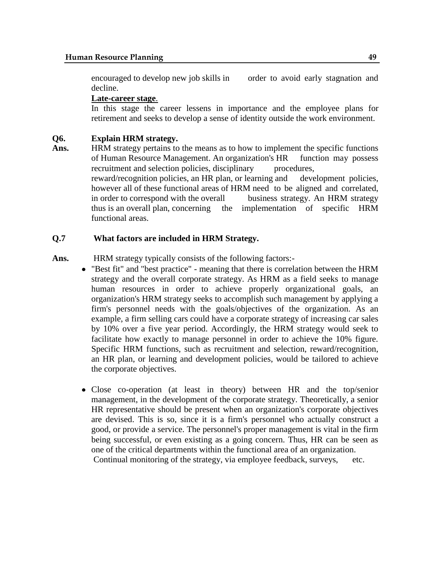encouraged to develop new job skills in order to avoid early stagnation and decline.

#### **Late-career stage**.

In this stage the career lessens in importance and the employee plans for retirement and seeks to develop a sense of identity outside the work environment.

#### **Q6. Explain HRM strategy.**

**Ans.** HRM strategy pertains to the means as to how to implement the specific functions of Human Resource Management. An organization's HR function may possess recruitment and selection policies, disciplinary procedures, reward/recognition policies, an HR plan, or learning and development policies, however all of these functional areas of HRM need to be aligned and correlated, in order to correspond with the overall business strategy. An HRM strategy thus is an overall plan, concerning the implementation of specific HRM functional areas.

#### **Q.7 What factors are included in HRM Strategy.**

Ans. HRM strategy typically consists of the following factors:-

- "Best fit" and "best practice" meaning that there is correlation between the HRM strategy and the overall corporate strategy. As HRM as a field seeks to manage human resources in order to achieve properly organizational goals, an organization's HRM strategy seeks to accomplish such management by applying a firm's personnel needs with the goals/objectives of the organization. As an example, a firm selling cars could have a corporate strategy of increasing car sales by 10% over a five year period. Accordingly, the HRM strategy would seek to facilitate how exactly to manage personnel in order to achieve the 10% figure. Specific HRM functions, such as recruitment and selection, reward/recognition, an HR plan, or learning and development policies, would be tailored to achieve the corporate objectives.
- Close co-operation (at least in theory) between HR and the top/senior management, in the development of the corporate strategy. Theoretically, a senior HR representative should be present when an organization's corporate objectives are devised. This is so, since it is a firm's personnel who actually construct a good, or provide a service. The personnel's proper management is vital in the firm being successful, or even existing as a going concern. Thus, HR can be seen as one of the critical departments within the functional area of an organization.

Continual monitoring of the strategy, via employee feedback, surveys, etc.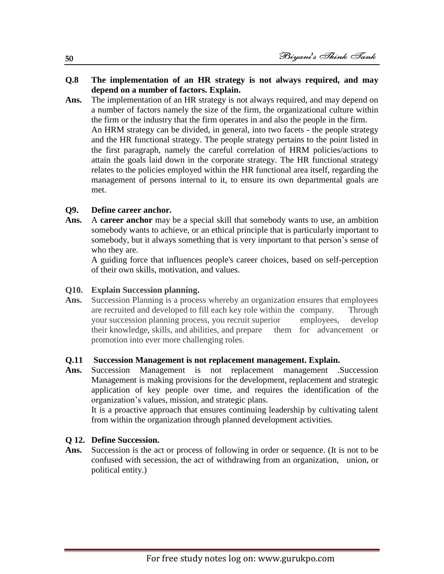#### **Q.8 The implementation of an HR strategy is not always required, and may depend on a number of factors. Explain.**

**Ans.** The implementation of an HR strategy is not always required, and may depend on a number of factors namely the size of the firm, the organizational culture within the firm or the industry that the firm operates in and also the people in the firm. An HRM strategy can be divided, in general, into two facets - the people strategy and the HR functional strategy. The people strategy pertains to the point listed in the first paragraph, namely the careful correlation of HRM policies/actions to attain the goals laid down in the corporate strategy. The HR functional strategy relates to the policies employed within the HR functional area itself, regarding the management of persons internal to it, to ensure its own departmental goals are met.

#### **Q9. Define career anchor.**

**Ans.** A **career anchor** may be a special [skill](http://www.hrdictionary.com/definition/skill.html) that somebody [wants](http://www.hrdictionary.com/definition/want.html) to use, an [ambition](http://www.hrdictionary.com/definition/ambition.html) somebody wants to [achieve,](http://www.hrdictionary.com/definition/achieve.html) or an ethical [principle](http://www.hrdictionary.com/definition/principle.html) that is particularly [important](http://www.hrdictionary.com/definition/important.html) to somebody, but [it](http://www.hrdictionary.com/definition/IT.html) always something that is very important to that [person's](http://www.hrdictionary.com/definition/person.html) sense of who they are.

A guiding force that influences people's career choices, based on self-perception of their own skills, motivation, and values.

#### **Q10. Explain Succession planning.**

**Ans.** Succession Planning is a process whereby an organization ensures that employees are recruited and developed to fill each key role within the company. Through your succession planning process, you recruit superior employees, develop their knowledge, skills, and abilities, and prepare them for advancement or promotion into ever more challenging roles.

#### **Q.11 Succession Management is not replacement management. Explain.**

**Ans.** Succession Management is not replacement management .Succession Management is making provisions for the development, replacement and strategic application of key people over time, and requires the identification of the organization's values, mission, and strategic plans.

It is a proactive approach that ensures continuing leadership by cultivating talent from within the organization through planned development activities.

#### **Q 12. Define Succession.**

Ans. Succession is the act or process of following in order or sequence. (It is not to be confused with secession, the act of withdrawing from an organization, union, or political entity.)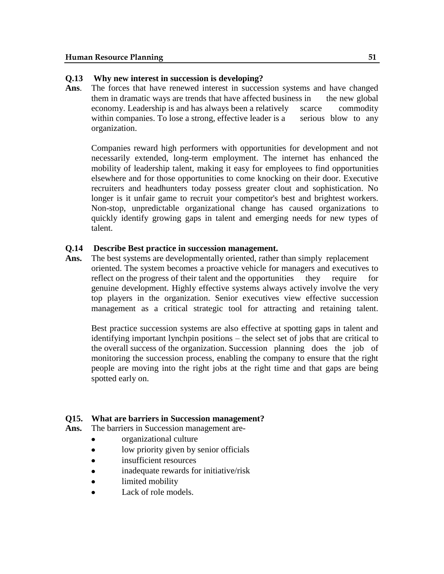#### **Q.13 Why new interest in succession is developing?**

**Ans**. The forces that have renewed interest in succession systems and have changed them in dramatic ways are trends that have affected business in the new global economy. Leadership is and has always been a relatively scarce commodity within companies. To lose a strong, effective leader is a serious blow to any organization.

Companies reward high performers with opportunities for development and not necessarily extended, long-term employment. The internet has enhanced the mobility of leadership talent, making it easy for employees to find opportunities elsewhere and for those opportunities to come knocking on their door. Executive recruiters and headhunters today possess greater clout and sophistication. No longer is it unfair game to recruit your competitor's best and brightest workers. Non-stop, unpredictable organizational change has caused organizations to quickly identify growing gaps in talent and emerging needs for new types of talent.

#### **Q.14 Describe Best practice in succession management.**

**Ans.** The best systems are developmentally oriented, rather than simply replacement oriented. The system becomes a proactive vehicle for managers and executives to reflect on the progress of their talent and the opportunities they require for genuine development. Highly effective systems always actively involve the very top players in the organization. Senior executives view effective succession management as a critical strategic tool for attracting and retaining talent.

Best practice succession systems are also effective at spotting gaps in talent and identifying important lynchpin positions – the select set of jobs that are critical to the overall success of the organization. Succession planning does the job of monitoring the succession process, enabling the company to ensure that the right people are moving into the right jobs at the right time and that gaps are being spotted early on.

#### **Q15. What are barriers in Succession management?**

- **Ans.** The barriers in Succession management are
	- organizational culture
	- low priority given by senior officials  $\bullet$
	- insufficient resources
	- inadequate rewards for initiative/risk
	- limited mobility
	- Lack of role models.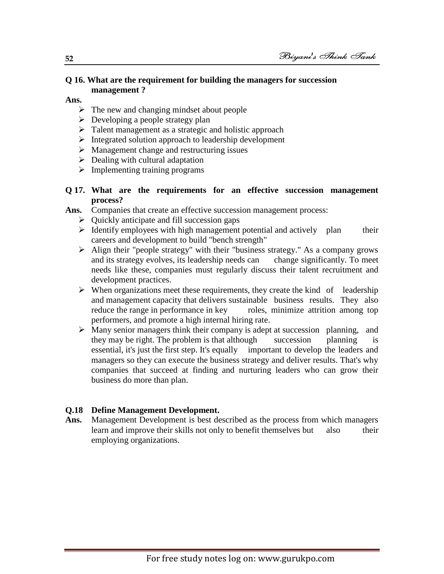#### **Q 16. What are the requirement for building the managers for succession management ?**

#### **Ans.**

- $\triangleright$  The new and changing mindset about people
- $\triangleright$  Developing a people strategy plan
- $\triangleright$  Talent management as a strategic and holistic approach
- Integrated solution approach to leadership development
- $\triangleright$  Management change and restructuring issues
- $\triangleright$  Dealing with cultural adaptation
- $\triangleright$  Implementing training programs

#### **Q 17. What are the requirements for an effective succession management process?**

- Ans. Companies that create an effective succession management process:
	- $\triangleright$  Quickly anticipate and fill succession gaps
	- $\triangleright$  Identify employees with high management potential and actively plan their careers and development to build "bench strength"
	- Align their "people strategy" with their "business strategy." As a company grows and its strategy evolves, its leadership needs can change significantly. To meet and its strategy evolves, its leadership needs can needs like these, companies must regularly discuss their talent recruitment and development practices.
	- $\triangleright$  When organizations meet these requirements, they create the kind of leadership and management capacity that delivers sustainable business results. They also reduce the range in performance in key roles, minimize attrition among top performers, and promote a high internal hiring rate.
	- $\triangleright$  Many senior managers think their company is adept at succession planning, and they may be right. The problem is that although succession planning is essential, it's just the first step. It's equally important to develop the leaders and managers so they can execute the business strategy and deliver results. That's why companies that succeed at finding and nurturing leaders who can grow their business do more than plan.

## **Q.18 Define Management Development.**

**Ans.** Management Development is best described as the process from which managers learn and improve their skills not only to benefit themselves but also their employing organizations.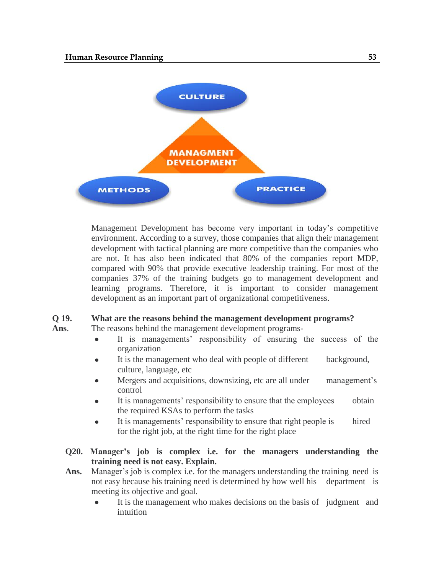

Management Development has become very important in today's competitive environment. According to a survey, those companies that align their management development with tactical planning are more competitive than the companies who are not. It has also been indicated that 80% of the companies report MDP, compared with 90% that provide executive leadership training. For most of the companies 37% of the training budgets go to management development and learning programs. Therefore, it is important to consider management development as an important part of organizational competitiveness.

#### **Q 19. What are the reasons behind the management development programs?**

- **Ans**. The reasons behind the management development programs-
	- It is managements' responsibility of ensuring the success of the  $\bullet$ organization
	- It is the management who deal with people of different background, culture, language, etc
	- Mergers and acquisitions, downsizing, etc are all under management's control
	- It is managements' responsibility to ensure that the employees obtain the required KSAs to perform the tasks
	- It is managements' responsibility to ensure that right people is hired for the right job, at the right time for the right place
	- **Q20. Manager's job is complex i.e. for the managers understanding the training need is not easy. Explain.**
	- Ans. Manager's job is complex i.e. for the managers understanding the training need is not easy because his training need is determined by how well his department is meeting its objective and goal.
		- It is the management who makes decisions on the basis of judgment and  $\bullet$ intuition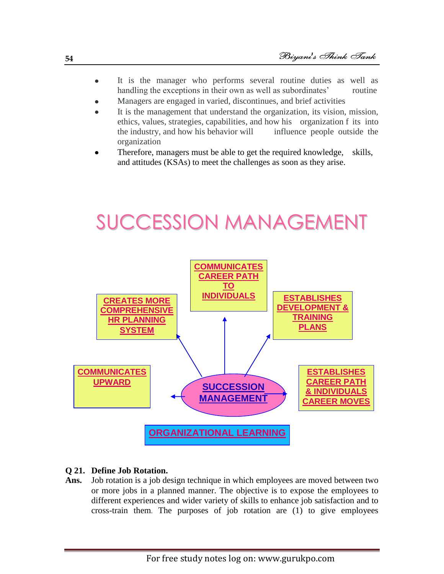- It is the manager who performs several routine duties as well as  $\bullet$ handling the exceptions in their own as well as subordinates' routine
- Managers are engaged in varied, discontinues, and brief activities
- It is the management that understand the organization, its vision, mission, ethics, values, strategies, capabilities, and how his organization f its into the industry, and how his behavior will influence people outside the organization
- Therefore, managers must be able to get the required knowledge, skills, and attitudes (KSAs) to meet the challenges as soon as they arise.

## SUCCESSION MANAGEMENT



#### **Q 21. Define Job Rotation.**

Ans. Job rotation is a [job design](http://www.businessdictionary.com/definition/job-design.html) [technique](http://www.businessdictionary.com/definition/technique.html) in which [employees](http://www.businessdictionary.com/definition/employee.html) are moved between two or more [jobs](http://www.businessdictionary.com/definition/job.html) in a planned manner. The [objective](http://www.businessdictionary.com/definition/objective.html) is to [expose](http://www.investorwords.com/9642/expose.html) the employees to different [experiences](http://www.businessdictionary.com/definition/experience.html) and wider variety of [skills](http://www.businessdictionary.com/definition/skill.html) to enhance [job satisfaction](http://www.businessdictionary.com/definition/job-satisfaction.html) and to cross-train them. The purposes of job rotation are (1) to give employees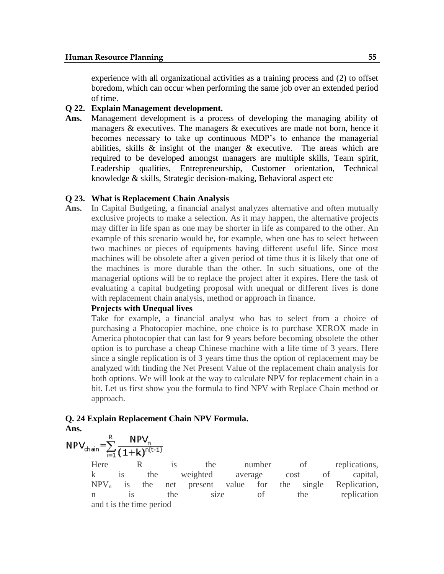experience with all organizational activities as a training process and (2) to offset boredom, which can occur when performing the same job over an extended period of time.

#### **Q 22. Explain Management development.**

**Ans.** Management development is a process of developing the managing ability of managers & executives. The managers & executives are made not born, hence it becomes necessary to take up continuous MDP's to enhance the managerial abilities, skills  $\&$  insight of the manger  $\&$  executive. The areas which are required to be developed amongst managers are multiple skills, Team spirit, Leadership qualities, Entrepreneurship, Customer orientation, Technical knowledge & skills, Strategic decision-making, Behavioral aspect etc

#### **Q 23. What is Replacement Chain Analysis**

**Ans.** In Capital Budgeting, a financial analyst analyzes alternative and often mutually exclusive projects to make a selection. As it may happen, the alternative projects may differ in life span as one may be shorter in life as compared to the other. An example of this scenario would be, for example, when one has to select between two machines or pieces of equipments having different useful life. Since most machines will be obsolete after a given period of time thus it is likely that one of the machines is more durable than the other. In such situations, one of the managerial options will be to replace the project after it expires. Here the task of evaluating a capital budgeting proposal with unequal or different lives is done with replacement chain analysis, method or approach in finance.

#### **Projects with Unequal lives**

Take for example, a financial analyst who has to select from a choice of purchasing a Photocopier machine, one choice is to purchase XEROX made in America photocopier that can last for 9 years before becoming obsolete the other option is to purchase a cheap Chinese machine with a life time of 3 years. Here since a single replication is of 3 years time thus the option of replacement may be analyzed with finding the Net Present Value of the replacement chain analysis for both options. We will look at the way to calculate NPV for replacement chain in a bit. Let us first show you the formula to find NPV with Replace Chain method or approach.

#### **Q. 24 Explain Replacement Chain NPV Formula.**

**Ans.**

$$
NPV_{chain} = \sum_{i=1}^{R} \frac{NPV_{n}}{(1+k)^{n(t-1)}}
$$

Here R is the number of replications, k is the weighted average cost of capital,  $NPV_n$  is the net present value for the single Replication, n is the size of the replication and t is the time period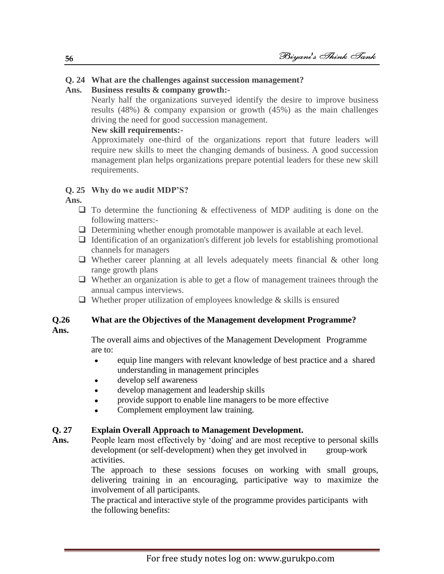## **Q. 24 What are the challenges against succession management?**

#### **Ans. Business results & company growth:-**

Nearly half the organizations surveyed identify the desire to improve business results (48%) & company expansion or growth (45%) as the main challenges driving the need for good succession management.

## **New skill requirements:-**

Approximately one-third of the organizations report that future leaders will require new skills to meet the changing demands of business. A good succession management plan helps organizations prepare potential leaders for these new skill requirements.

#### **Q. 25 Why do we audit MDP'S?**

**Ans.** 

- $\Box$  To determine the functioning & effectiveness of MDP auditing is done on the following matters:-
- $\Box$  Determining whether enough promotable manpower is available at each level.
- $\Box$  Identification of an organization's different job levels for establishing promotional channels for managers
- $\Box$  Whether career planning at all levels adequately meets financial & other long range growth plans
- Whether an organization is able to get a flow of management trainees through the annual campus interviews.
- $\Box$  Whether proper utilization of employees knowledge & skills is ensured

#### **Q.26 What are the Objectives of the Management development Programme?**

**Ans.**

The overall aims and objectives of the Management Development Programme are to:

- equip line mangers with relevant knowledge of best practice and a shared  $\bullet$ understanding in management principles
- develop self awareness
- develop management and leadership skills
- provide support to enable line managers to be more effective
- Complement employment law training.

#### **Q. 27 Explain Overall Approach to Management Development.**

Ans. People learn most effectively by 'doing' and are most receptive to personal skills development (or self-development) when they get involved in group-work activities.

> The approach to these sessions focuses on working with small groups, delivering training in an encouraging, participative way to maximize the involvement of all participants.

The practical and interactive style of the programme provides participants with the following benefits: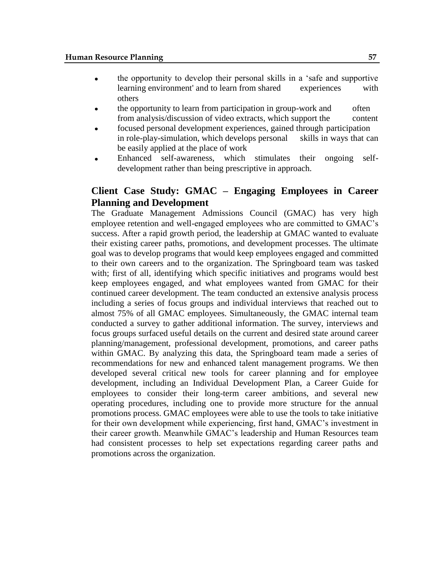- the opportunity to develop their personal skills in a 'safe and supportive learning environment' and to learn from shared experiences with others
- the opportunity to learn from participation in group-work and often from analysis/discussion of video extracts, which support the content
- focused personal development experiences, gained through participation in role-play-simulation, which develops personal skills in ways that can be easily applied at the place of work
- Enhanced self-awareness, which stimulates their ongoing selfdevelopment rather than being prescriptive in approach.

## **Client Case Study: GMAC – Engaging Employees in Career Planning and Development**

The Graduate Management Admissions Council (GMAC) has very high employee retention and well-engaged employees who are committed to GMAC's success. After a rapid growth period, the leadership at GMAC wanted to evaluate their existing career paths, promotions, and development processes. The ultimate goal was to develop programs that would keep employees engaged and committed to their own careers and to the organization. The Springboard team was tasked with; first of all, identifying which specific initiatives and programs would best keep employees engaged, and what employees wanted from GMAC for their continued career development. The team conducted an extensive analysis process including a series of focus groups and individual interviews that reached out to almost 75% of all GMAC employees. Simultaneously, the GMAC internal team conducted a survey to gather additional information. The survey, interviews and focus groups surfaced useful details on the current and desired state around career planning/management, professional development, promotions, and career paths within GMAC. By analyzing this data, the Springboard team made a series of recommendations for new and enhanced talent management programs. We then developed several critical new tools for career planning and for employee development, including an Individual Development Plan, a Career Guide for employees to consider their long-term career ambitions, and several new operating procedures, including one to provide more structure for the annual promotions process. GMAC employees were able to use the tools to take initiative for their own development while experiencing, first hand, GMAC's investment in their career growth. Meanwhile GMAC's leadership and Human Resources team had consistent processes to help set expectations regarding career paths and promotions across the organization.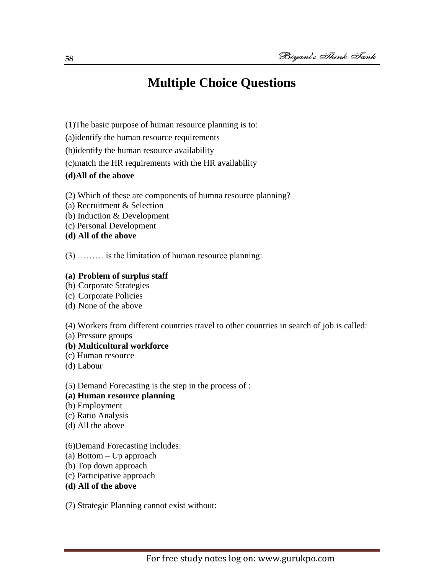## **Multiple Choice Questions**

- (1)The basic purpose of human resource planning is to:
- (a)identify the human resource requirements
- (b)identify the human resource availability
- (c)match the HR requirements with the HR availability
- **(d)All of the above**
- (2) Which of these are components of humna resource planning?
- (a) Recruitment & Selection
- (b) Induction & Development
- (c) Personal Development
- **(d) All of the above**

(3) ……… is the limitation of human resource planning:

#### **(a) Problem of surplus staff**

- (b) Corporate Strategies
- (c) Corporate Policies
- (d) None of the above

(4) Workers from different countries travel to other countries in search of job is called:

(a) Pressure groups

#### **(b) Multicultural workforce**

- (c) Human resource
- (d) Labour

(5) Demand Forecasting is the step in the process of :

- **(a) Human resource planning**
- (b) Employment
- (c) Ratio Analysis
- (d) All the above
- (6)Demand Forecasting includes:
- (a) Bottom Up approach
- (b) Top down approach
- (c) Participative approach
- **(d) All of the above**

(7) Strategic Planning cannot exist without: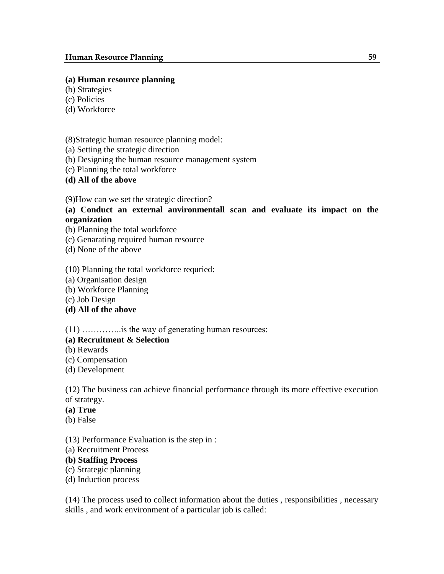#### **(a) Human resource planning**

- (b) Strategies
- (c) Policies
- (d) Workforce

(8)Strategic human resource planning model:

- (a) Setting the strategic direction
- (b) Designing the human resource management system
- (c) Planning the total workforce
- **(d) All of the above**

(9)How can we set the strategic direction?

### **(a) Conduct an external anvironmentall scan and evaluate its impact on the organization**

- (b) Planning the total workforce
- (c) Genarating required human resource
- (d) None of the above

(10) Planning the total workforce requried:

- (a) Organisation design
- (b) Workforce Planning
- (c) Job Design
- **(d) All of the above**

(11) …………..is the way of generating human resources:

#### **(a) Recruitment & Selection**

- (b) Rewards
- (c) Compensation
- (d) Development

(12) The business can achieve financial performance through its more effective execution of strategy.

#### **(a) True**

(b) False

(13) Performance Evaluation is the step in :

(a) Recruitment Process

#### **(b) Staffing Process**

- (c) Strategic planning
- (d) Induction process

(14) The process used to collect information about the duties , responsibilities , necessary skills , and work environment of a particular job is called: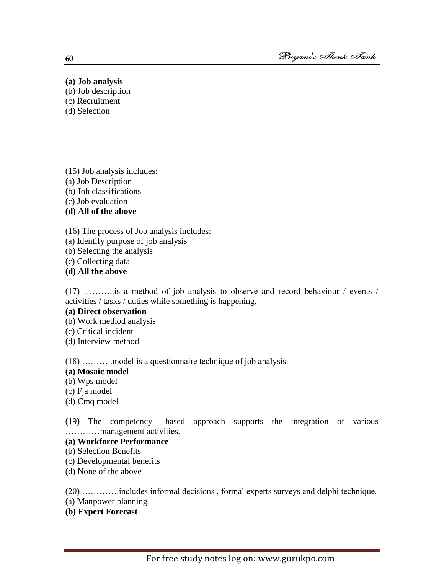#### **(a) Job analysis**

- (b) Job description
- (c) Recruitment
- (d) Selection

(15) Job analysis includes: (a) Job Description (b) Job classifications (c) Job evaluation **(d) All of the above**

(16) The process of Job analysis includes:

- (a) Identify purpose of job analysis
- (b) Selecting the analysis
- (c) Collecting data

**(d) All the above**

(17) ………..is a method of job analysis to observe and record behaviour / events / activities / tasks / duties while something is happening.

#### **(a) Direct observation**

- (b) Work method analysis
- (c) Critical incident
- (d) Interview method

(18) ………..model is a questionnaire technique of job analysis.

## **(a) Mosaic model**

- (b) Wps model
- (c) Fja model
- (d) Cmq model

(19) The competency –based approach supports the integration of various …………management activities.

## **(a) Workforce Performance**

- (b) Selection Benefits
- (c) Developmental benefits
- (d) None of the above

(20) ………….includes informal decisions , formal experts surveys and delphi technique.

- (a) Manpower planning
- **(b) Expert Forecast**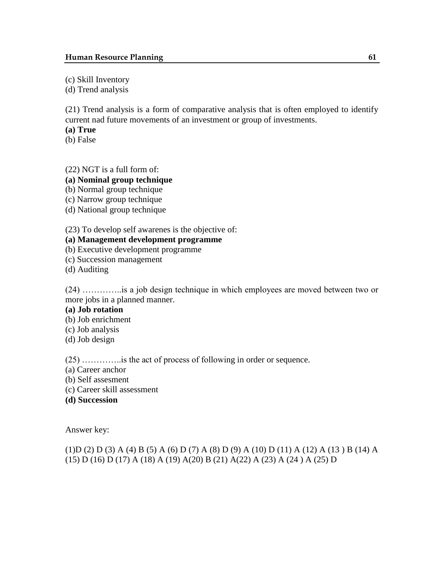(c) Skill Inventory

(d) Trend analysis

(21) Trend analysis is a form of comparative analysis that is often employed to identify current nad future movements of an investment or group of investments.

**(a) True** 

(b) False

(22) NGT is a full form of:

**(a) Nominal group technique**

(b) Normal group technique

(c) Narrow group technique

(d) National group technique

(23) To develop self awarenes is the objective of:

## **(a) Management development programme**

(b) Executive development programme

(c) Succession management

(d) Auditing

(24) …………..is a job design technique in which employees are moved between two or more jobs in a planned manner.

#### **(a) Job rotation**

(b) Job enrichment

(c) Job analysis

(d) Job design

(25) …………..is the act of process of following in order or sequence.

(a) Career anchor

(b) Self assesment

- (c) Career skill assessment
- **(d) Succession**

Answer key:

(1)D (2) D (3) A (4) B (5) A (6) D (7) A (8) D (9) A (10) D (11) A (12) A (13 ) B (14) A (15) D (16) D (17) A (18) A (19) A(20) B (21) A(22) A (23) A (24 ) A (25) D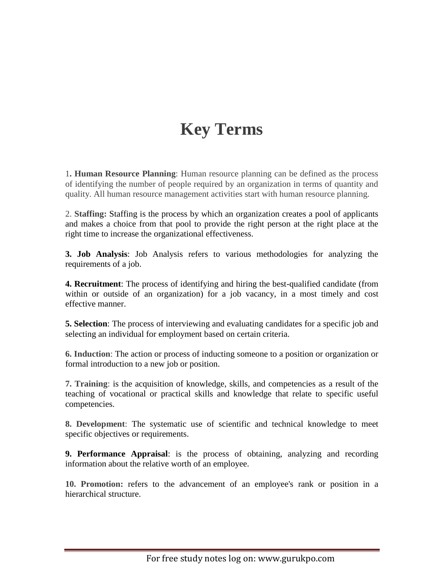## **Key Terms**

1**. Human Resource Planning**: Human resource planning can be defined as the process of identifying the number of people required by an organization in terms of quantity and quality. All human resource management activities start with human resource planning.

2. **Staffing:** Staffing is the process by which an organization creates a pool of applicants and makes a choice from that pool to provide the right person at the right place at the right time to increase the organizational effectiveness.

**3. Job Analysis**: Job Analysis refers to various methodologies for analyzing the requirements of a job.

**4. Recruitment**: The process of identifying and hiring the best-qualified candidate (from within or outside of an organization) for a job vacancy, in a most timely and cost effective manner.

**5. Selection**: The process of interviewing and evaluating candidates for a specific job and selecting an individual for employment based on certain criteria.

**6. Induction**: The action or process of inducting someone to a position or organization or formal introduction to a new job or position.

**7. Training**: is the acquisition of knowledge, skills, and competencies as a result of the teaching of vocational or practical skills and knowledge that relate to specific useful competencies.

**8. Development**: The systematic use of scientific and technical knowledge to meet specific objectives or requirements.

**9. Performance Appraisal**: is the process of obtaining, analyzing and recording information about the relative worth of an employee.

**10. Promotion:** refers to the advancement of an employee's rank or position in a hierarchical structure.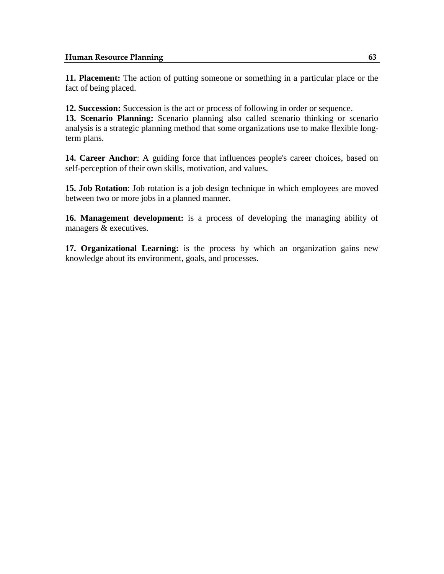**11. Placement:** The action of putting someone or something in a particular place or the fact of being placed.

**12. Succession:** Succession is the act or process of following in order or sequence.

**13. Scenario Planning:** Scenario planning also called scenario thinking or scenario analysis is a strategic planning method that some organizations use to make flexible longterm plans.

**14. Career Anchor**: A guiding force that influences people's career choices, based on self-perception of their own skills, motivation, and values.

**15. Job Rotation**: Job rotation is a [job design](http://www.businessdictionary.com/definition/job-design.html) [technique](http://www.businessdictionary.com/definition/technique.html) in which [employees](http://www.businessdictionary.com/definition/employee.html) are moved between two or more [jobs](http://www.businessdictionary.com/definition/job.html) in a planned manner.

**16. Management development:** is a process of developing the managing ability of managers & executives.

**17. Organizational Learning:** is the process by which an organization gains new knowledge about its environment, goals, and processes.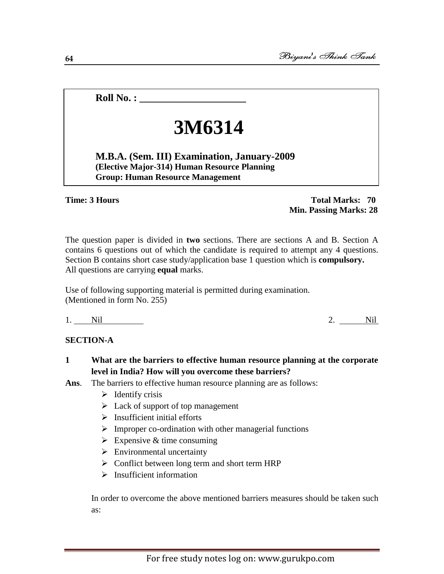**Roll No. :**  $\blacksquare$ 

# **3M6314**

**M.B.A. (Sem. III) Examination, January-2009 (Elective Major-314) Human Resource Planning Group: Human Resource Management**

#### **Time: 3 Hours**

#### **Total Marks: 70 Min. Passing Marks: 28**

The question paper is divided in **two** sections. There are sections A and B. Section A contains 6 questions out of which the candidate is required to attempt any 4 questions. Section B contains short case study/application base 1 question which is **compulsory.** All questions are carrying **equal** marks.

Use of following supporting material is permitted during examination. (Mentioned in form No. 255)

1. Nil 2. Nil 2.

#### **SECTION-A**

- **1 What are the barriers to effective human resource planning at the corporate level in India? How will you overcome these barriers?**
- **Ans**. The barriers to effective human resource planning are as follows:
	- $\triangleright$  Identify crisis
	- $\triangleright$  Lack of support of top management
	- $\triangleright$  Insufficient initial efforts
	- $\triangleright$  Improper co-ordination with other managerial functions
	- $\triangleright$  Expensive & time consuming
	- $\triangleright$  Environmental uncertainty
	- $\triangleright$  Conflict between long term and short term HRP
	- $\triangleright$  Insufficient information

In order to overcome the above mentioned barriers measures should be taken such as:

For free study notes log on: www.gurukpo.com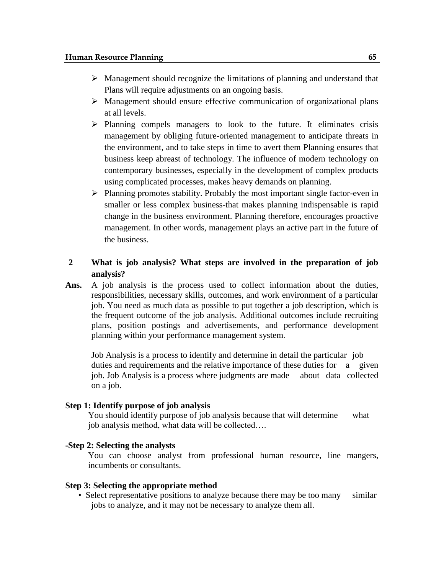- $\triangleright$  Management should recognize the limitations of planning and understand that Plans will require adjustments on an ongoing basis.
- $\triangleright$  Management should ensure effective communication of organizational plans at all levels.
- $\triangleright$  Planning compels managers to look to the future. It eliminates crisis management by obliging future-oriented management to anticipate threats in the environment, and to take steps in time to avert them Planning ensures that business keep abreast of technology. The influence of modern technology on contemporary businesses, especially in the development of complex products using complicated processes, makes heavy demands on planning.
- $\triangleright$  Planning promotes stability. Probably the most important single factor-even in smaller or less complex business-that makes planning indispensable is rapid change in the business environment. Planning therefore, encourages proactive management. In other words, management plays an active part in the future of the business.

### **2 What is job analysis? What steps are involved in the preparation of job analysis?**

**Ans.** A job analysis is the process used to collect information about the duties, responsibilities, necessary skills, outcomes, and work environment of a particular job. You need as much data as possible to put together a [job description,](http://humanresources.about.com/od/jobdescriptions/g/job_description.htm) which is the frequent outcome of the job analysis. Additional outcomes include recruiting plans, [position postings and advertisements,](http://humanresources.about.com/od/careerandjobsearchhelp/a/post_jobs.htm) and [performance development](http://humanresources.about.com/cs/perfmeasurement/a/pdp.htm)  [planning](http://humanresources.about.com/cs/perfmeasurement/a/pdp.htm) within your [performance management system.](http://humanresources.about.com/od/performancemanagement/a/perfmgmt.htm)

Job Analysis is a process to identify and determine in detail the particular job duties and requirements and the relative importance of these duties for a given job. Job Analysis is a process where judgments are made about data collected on a job.

#### **Step 1: Identify purpose of job analysis**

You should identify purpose of job analysis because that will determine what job analysis method, what data will be collected….

#### **-Step 2: Selecting the analysts**

You can choose analyst from professional human resource, line mangers, incumbents or consultants.

#### **Step 3: Selecting the appropriate method**

• Select representative positions to analyze because there may be too many similar jobs to analyze, and it may not be necessary to analyze them all.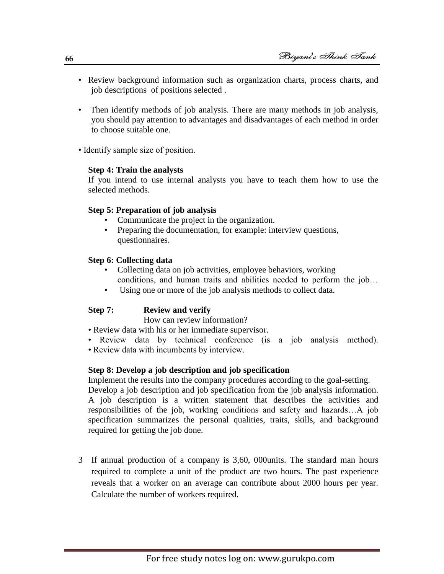- Review background information such as organization charts, process charts, and job descriptions of positions selected .
- Then identify methods of job analysis. There are many methods in job analysis, you should pay attention to advantages and disadvantages of each method in order to choose suitable one.
- Identify sample size of position.

## **Step 4: Train the analysts**

If you intend to use internal analysts you have to teach them how to use the selected methods.

## **Step 5: Preparation of job analysis**

- Communicate the project in the organization.
- Preparing the documentation, for example: interview questions, questionnaires.

## **Step 6: Collecting data**

- Collecting data on job activities, employee behaviors, working conditions, and human traits and abilities needed to perform the job…
- Using one or more of the job analysis methods to collect data.

## **Step 7: Review and verify**

required for getting the job done.

How can review information?

- Review data with his or her immediate supervisor.
- Review data by technical conference (is a job analysis method).
- Review data with incumbents by interview.

## **Step 8: Develop a job description and job specification**

Implement the results into the company procedures according to the goal-setting. Develop a job description and job specification from the job analysis information. A job description is a written statement that describes the activities and responsibilities of the job, working conditions and safety and hazards…A job specification summarizes the personal qualities, traits, skills, and background

3 If annual production of a company is 3,60, 000units. The standard man hours required to complete a unit of the product are two hours. The past experience reveals that a worker on an average can contribute about 2000 hours per year. Calculate the number of workers required.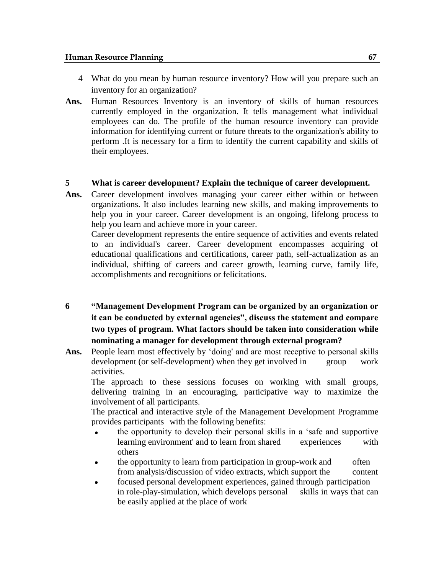- 4 What do you mean by human resource inventory? How will you prepare such an inventory for an organization?
- **Ans.** Human Resources Inventory is an inventory of skills of human resources currently employed in the organization. It tells management what individual employees can do. The profile of the human resource inventory can provide information for identifying current or future threats to the organization's ability to perform .It is necessary for a firm to identify the current capability and skills of their employees.

#### **5 What is career development? Explain the technique of career development.**

**Ans.** Career development involves managing your career either within or between organizations. It also includes learning new skills, and making improvements to help you in your career. Career development is an ongoing, lifelong process to help you learn and achieve more in your career.

Career development represents the entire sequence of activities and events related to an individual's career. Career development encompasses acquiring of educational qualifications and certifications, career path, self-actualization as an individual, shifting of careers and career growth, learning curve, family life, accomplishments and recognitions or felicitations.

- **6 "Management Development Program can be organized by an organization or it can be conducted by external agencies", discuss the statement and compare two types of program. What factors should be taken into consideration while nominating a manager for development through external program?**
- Ans. People learn most effectively by 'doing' and are most receptive to personal skills development (or self-development) when they get involved in group work activities.

The approach to these sessions focuses on working with small groups, delivering training in an encouraging, participative way to maximize the involvement of all participants.

The practical and interactive style of the Management Development Programme provides participants with the following benefits:

- the opportunity to develop their personal skills in a 'safe and supportive learning environment' and to learn from shared experiences with others
- the opportunity to learn from participation in group-work and often from analysis/discussion of video extracts, which support the content
- focused personal development experiences, gained through participation in role-play-simulation, which develops personal skills in ways that can be easily applied at the place of work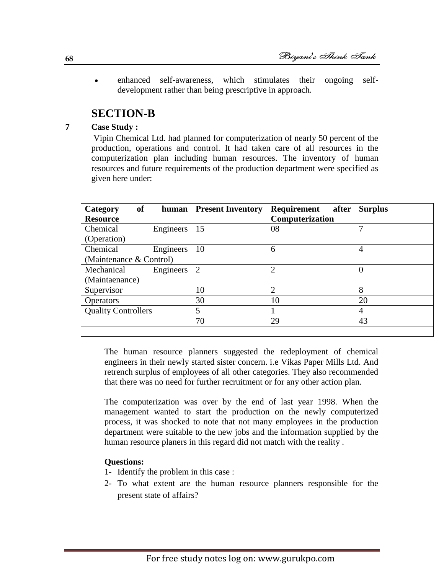enhanced self-awareness, which stimulates their ongoing self- $\bullet$ development rather than being prescriptive in approach.

## **SECTION-B**

**7 Case Study :**

Vipin Chemical Ltd. had planned for computerization of nearly 50 percent of the production, operations and control. It had taken care of all resources in the computerization plan including human resources. The inventory of human resources and future requirements of the production department were specified as given here under:

| <b>of</b><br>Category      | human     | <b>Present Inventory</b> | Requirement<br>after | <b>Surplus</b> |
|----------------------------|-----------|--------------------------|----------------------|----------------|
| <b>Resource</b>            |           |                          | Computerization      |                |
| Chemical                   | Engineers | 15                       | 08                   | 7              |
| (Operation)                |           |                          |                      |                |
| Chemical                   | Engineers | 10                       | 6                    | $\overline{4}$ |
| (Maintenance & Control)    |           |                          |                      |                |
| Mechanical                 | Engineers | 2                        | ◠                    | $\Omega$       |
| (Maintaenance)             |           |                          |                      |                |
| Supervisor                 |           | 10                       | $\overline{2}$       | 8              |
| <b>Operators</b>           |           | 30                       | 10                   | 20             |
| <b>Quality Controllers</b> |           | 5                        |                      | $\overline{4}$ |
|                            |           | 70                       | 29                   | 43             |
|                            |           |                          |                      |                |

The human resource planners suggested the redeployment of chemical engineers in their newly started sister concern. i.e Vikas Paper Mills Ltd. And retrench surplus of employees of all other categories. They also recommended that there was no need for further recruitment or for any other action plan.

The computerization was over by the end of last year 1998. When the management wanted to start the production on the newly computerized process, it was shocked to note that not many employees in the production department were suitable to the new jobs and the information supplied by the human resource planers in this regard did not match with the reality .

## **Questions:**

- 1- Identify the problem in this case :
- 2- To what extent are the human resource planners responsible for the present state of affairs?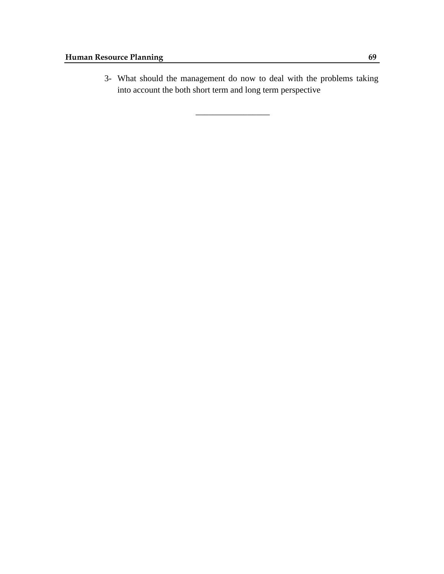3- What should the management do now to deal with the problems taking into account the both short term and long term perspective

\_\_\_\_\_\_\_\_\_\_\_\_\_\_\_\_\_